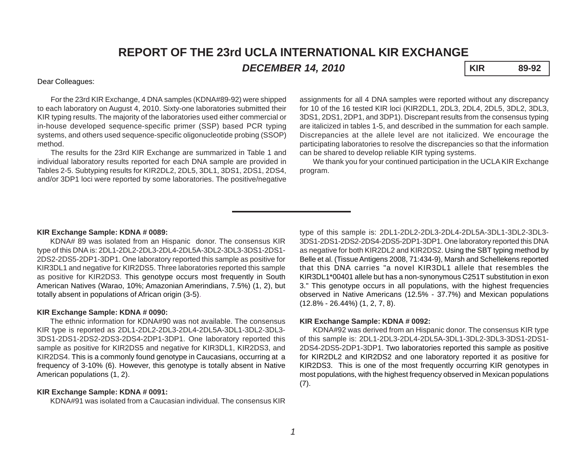# **REPORT OF THE 23rd UCLA INTERNATIONAL KIR EXCHANGE**

*DECEMBER 14, 2010* **KIR 89-92**

#### Dear Colleagues:

For the 23rd KIR Exchange, 4 DNA samples (KDNA#89-92) were shipped to each laboratory on August 4, 2010. Sixty-one laboratories submitted their KIR typing results. The majority of the laboratories used either commercial or in-house developed sequence-specific primer (SSP) based PCR typing systems, and others used sequence-specific oligonucleotide probing (SSOP) method.

The results for the 23rd KIR Exchange are summarized in Table 1 and individual laboratory results reported for each DNA sample are provided in Tables 2-5. Subtyping results for KIR2DL2, 2DL5, 3DL1, 3DS1, 2DS1, 2DS4, and/or 3DP1 loci were reported by some laboratories. The positive/negative

assignments for all 4 DNA samples were reported without any discrepancy for 10 of the 16 tested KIR loci (KIR2DL1, 2DL3, 2DL4, 2DL5, 3DL2, 3DL3, 3DS1, 2DS1, 2DP1, and 3DP1). Discrepant results from the consensus typing are italicized in tables 1-5, and described in the summation for each sample. Discrepancies at the allele level are not italicized. We encourage the participating laboratories to resolve the discrepancies so that the information can be shared to develop reliable KIR typing systems.

We thank you for your continued participation in the UCLA KIR Exchange program.

#### **KIR Exchange Sample: KDNA # 0089:**

KDNA# 89 was isolated from an Hispanic donor. The consensus KIR type of this DNA is: 2DL1-2DL2-2DL3-2DL4-2DL5A-3DL2-3DL3-3DS1-2DS1- 2DS2-2DS5-2DP1-3DP1. One laboratory reported this sample as positive for KIR3DL1 and negative for KIR2DS5. Three laboratories reported this sample as positive for KIR2DS3. This genotype occurs most frequently in South American Natives (Warao, 10%; Amazonian Amerindians, 7.5%) (1, 2), but totally absent in populations of African origin (3-5).

#### **KIR Exchange Sample: KDNA # 0090:**

The ethnic information for KDNA#90 was not available. The consensus KIR type is reported as 2DL1-2DL2-2DL3-2DL4-2DL5A-3DL1-3DL2-3DL3- 3DS1-2DS1-2DS2-2DS3-2DS4-2DP1-3DP1. One laboratory reported this sample as positive for KIR2DS5 and negative for KIR3DL1, KIR2DS3, and KIR2DS4. This is a commonly found genotype in Caucasians, occurring at a frequency of 3-10% (6). However, this genotype is totally absent in Native American populations (1, 2).

#### **KIR Exchange Sample: KDNA # 0091:**

KDNA#91 was isolated from a Caucasian individual. The consensus KIR

type of this sample is: 2DL1-2DL2-2DL3-2DL4-2DL5A-3DL1-3DL2-3DL3- 3DS1-2DS1-2DS2-2DS4-2DS5-2DP1-3DP1. One laboratory reported this DNA as negative for both KIR2DL2 and KIR2DS2. Using the SBT typing method by Belle et al. (Tissue Antigens 2008, 71:434-9), Marsh and Schellekens reported that this DNA carries "a novel KIR3DL1 allele that resembles the KIR3DL1\*00401 allele but has a non-synonymous C251T substitution in exon 3." This genotype occurs in all populations, with the highest frequencies observed in Native Americans (12.5% - 37.7%) and Mexican populations (12.8% - 26.44%) (1, 2, 7, 8).

#### **KIR Exchange Sample: KDNA # 0092:**

KDNA#92 was derived from an Hispanic donor. The consensus KIR type of this sample is: 2DL1-2DL3-2DL4-2DL5A-3DL1-3DL2-3DL3-3DS1-2DS1- 2DS4-2DS5-2DP1-3DP1. Two laboratories reported this sample as positive for KIR2DL2 and KIR2DS2 and one laboratory reported it as positive for KIR2DS3. This is one of the most frequently occurring KIR genotypes in most populations, with the highest frequency observed in Mexican populations  $(7).$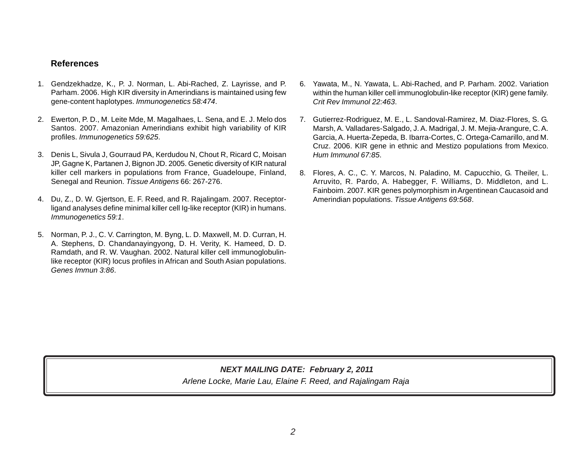### **References**

- 1. Gendzekhadze, K., P. J. Norman, L. Abi-Rached, Z. Layrisse, and P. Parham. 2006. High KIR diversity in Amerindians is maintained using few gene-content haplotypes. *Immunogenetics 58:474*.
- 2. Ewerton, P. D., M. Leite Mde, M. Magalhaes, L. Sena, and E. J. Melo dos Santos. 2007. Amazonian Amerindians exhibit high variability of KIR profiles. *Immunogenetics 59:625*.
- 3. Denis L, Sivula J, Gourraud PA, Kerdudou N, Chout R, Ricard C, Moisan JP, Gagne K, Partanen J, Bignon JD. 2005. Genetic diversity of KIR natural killer cell markers in populations from France, Guadeloupe, Finland, Senegal and Reunion. *Tissue Antigens* 66: 267-276.
- 4. Du, Z., D. W. Gjertson, E. F. Reed, and R. Rajalingam. 2007. Receptorligand analyses define minimal killer cell Ig-like receptor (KIR) in humans. *Immunogenetics 59:1*.
- 5. Norman, P. J., C. V. Carrington, M. Byng, L. D. Maxwell, M. D. Curran, H. A. Stephens, D. Chandanayingyong, D. H. Verity, K. Hameed, D. D. Ramdath, and R. W. Vaughan. 2002. Natural killer cell immunoglobulinlike receptor (KIR) locus profiles in African and South Asian populations. *Genes Immun 3:86*.
- 6. Yawata, M., N. Yawata, L. Abi-Rached, and P. Parham. 2002. Variation within the human killer cell immunoglobulin-like receptor (KIR) gene family. *Crit Rev Immunol 22:463*.
- 7. Gutierrez-Rodriguez, M. E., L. Sandoval-Ramirez, M. Diaz-Flores, S. G. Marsh, A. Valladares-Salgado, J. A. Madrigal, J. M. Mejia-Arangure, C. A. Garcia, A. Huerta-Zepeda, B. Ibarra-Cortes, C. Ortega-Camarillo, and M. Cruz. 2006. KIR gene in ethnic and Mestizo populations from Mexico. *Hum Immunol 67:85*.
- 8. Flores, A. C., C. Y. Marcos, N. Paladino, M. Capucchio, G. Theiler, L. Arruvito, R. Pardo, A. Habegger, F. Williams, D. Middleton, and L. Fainboim. 2007. KIR genes polymorphism in Argentinean Caucasoid and Amerindian populations. *Tissue Antigens 69:568*.

## *Arlene Locke, Marie Lau, Elaine F. Reed, and Rajalingam Raja NEXT MAILING DATE: February 2, 2011*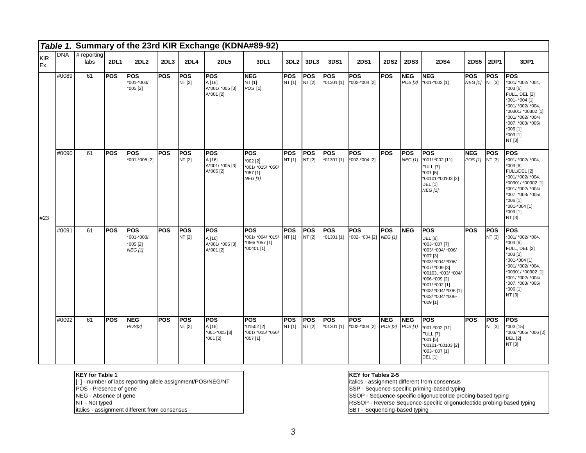|                   |            |                       |             |                                                          |            |                      | Table 1. Summary of the 23rd KIR Exchange (KDNA#89-92) |                                                                    |                      |                      |                          |                               |                               |             |                                                                                                                                                                                                                                          |                              |                      |                                                                                                                                                                                                       |
|-------------------|------------|-----------------------|-------------|----------------------------------------------------------|------------|----------------------|--------------------------------------------------------|--------------------------------------------------------------------|----------------------|----------------------|--------------------------|-------------------------------|-------------------------------|-------------|------------------------------------------------------------------------------------------------------------------------------------------------------------------------------------------------------------------------------------------|------------------------------|----------------------|-------------------------------------------------------------------------------------------------------------------------------------------------------------------------------------------------------|
| <b>KIR</b><br>Ex. | <b>DNA</b> | $#$ reporting<br>labs | <b>2DL1</b> | <b>2DL2</b>                                              | 2DL3       | <b>2DL4</b>          | <b>2DL5</b>                                            | 3DL1                                                               | 3DL <sub>2</sub>     | 3DL3                 | 3DS1                     | <b>2DS1</b>                   | <b>2DS2</b>                   | <b>2DS3</b> | <b>2DS4</b>                                                                                                                                                                                                                              | 2DS5                         | 2DP1                 | 3DP1                                                                                                                                                                                                  |
|                   | #0089      | 61                    | <b>POS</b>  | <b>POS</b><br>*001-*003/<br>$*005$ [2]                   | <b>POS</b> | <b>POS</b><br>NT [2] | lpos<br>A [16]<br>A*001/ *005 [3]<br>A*001 [2]         | <b>NEG</b><br>NT [1]<br>POS [1]                                    | lpos<br>NT [1]       | <b>POS</b><br>NT [2] | <b>POS</b><br>*01301 [1] | <b>POS</b><br>*002-*004 [2]   | <b>POS</b>                    | <b>NEG</b>  | <b>INEG</b><br>POS [3] *001-*002 [1]                                                                                                                                                                                                     | <b>POS</b><br>NEG [1] NT [3] | <b>POS</b>           | <b>POS</b><br>*001/ *002/ *004,<br>*003 [6]<br>FULL, DEL [2]<br>*001- *004 [1]<br>*001/ *002/ *004,<br>*00301/ *00302 [1]<br>*001/ *002/ *004/<br>*007, *003/ *005/<br>*006 [1]<br>*003 [1]<br>NT [3] |
| #23               | #0090      | 61                    | <b>POS</b>  | POS<br>*001-*005 [2]                                     | <b>POS</b> | <b>POS</b><br>NT [2] | <b>POS</b><br>A [16]<br>A*001/ *005 [3]<br>A*005 [2]   | <b>POS</b><br>*002 [2]<br>*001/ *015/ *056/<br>*057 [1]<br>NEG [1] | <b>POS</b><br>NT[1]  | <b>POS</b><br>NT [2] | <b>POS</b><br>*01301 [1] | POS<br>*002-*004 [2]          | <b>POS</b>                    | <b>POS</b>  | <b>POS</b><br>NEG [1] *001/ *002 [11]<br><b>FULL [7]</b><br>$*001$ [5]<br>*00101-*00103 [2]<br><b>DEL</b> [1]<br><b>NEG</b> [1]                                                                                                          | <b>NEG</b><br>POS [1] NT [3] | <b>POS</b>           | <b>POS</b><br>*001/ *002/ *004,<br>*003 [6]<br>FULL/DEL [2]<br>*001/ *002/ *004,<br>*00301/ *00302 [1]<br>*001/ *002/ *004/<br>*007, *003/ *005/<br>*006 [1]<br>*001-*004 [1]<br>*003 [1]<br>NT [3]   |
|                   | #0091      | 61                    | <b>POS</b>  | <b>POS</b><br>*001-*003/<br>$*005$ [2]<br><b>NEG [1]</b> | <b>POS</b> | POS<br>NT [2]        | <b>POS</b><br>A [16]<br>A*001/ *005 [3]<br>A*001 [2]   | <b>POS</b><br>*001/ *004/ *015/<br>*056/ *057 [1]<br>*00401 [1]    | <b>POS</b><br>NT [1] | <b>POS</b><br>NT [2] | <b>POS</b><br>*01301 [1] | POS<br>*002- *004 [2] NEG [1] | <b>POS</b>                    | <b>NEG</b>  | <b>POS</b><br><b>DEL [8]</b><br>*003-*007 [7]<br>*003/ *004/ *006/<br>*007 [3]<br>*003/ *004/ *006/<br>*007/ *009 [3]<br>*00103, *003/ *004/<br>*006-*009 [2]<br>*001/ *002 [1]<br>*003/ *004/ *006 [1]<br>*003/ *004/ *006-<br>*009 [1] | <b>POS</b>                   | <b>POS</b><br>NT [3] | POS<br>*001/ *002/ *004,<br>*003 [6]<br>FULL, DEL [2]<br>*003 [2]<br>*001-*004 [1]<br>*001/ *002/ *004,<br>*00301/ *00302 [1]<br>*001/ *002/ *004/<br>*007, *003/ *005/<br>$*006$ [1]<br>NT [3]       |
|                   | #0092      | 61                    | lpos        | <b>NEG</b><br>POS[2]                                     | <b>POS</b> | <b>POS</b><br>NT [2] | <b>POS</b><br>A [16]<br>*001-*005 [3]<br>*001 [2]      | <b>POS</b><br>*01502 [2]<br>*001/ *015/ *056/<br>$*057$ [1]        | lpos<br>NT[1]        | <b>POS</b><br>NT [2] | <b>POS</b><br>*01301 [1] | <b>POS</b><br>*002-*004 [2]   | <b>NEG</b><br>POS [2] POS [1] | <b>NEG</b>  | <b>POS</b><br>*001-*002 [11]<br><b>FULL [7]</b><br>$*001$ [5]<br>*00101-*00103 [2]<br>*003-*007 [1]<br><b>DEL</b> [1]                                                                                                                    | <b>POS</b>                   | <b>POS</b><br>NT [3] | <b>POS</b><br>*003 [15]<br>*003/ *005/ *006 [2]<br><b>DEL [2]</b><br>NT [3]                                                                                                                           |

#### **KEY for Table 1**

[ ] - number of labs reporting allele assignment/POS/NEG/NT

- POS Presence of gene
- NEG Absence of gene
- NT Not typed

italics - assignment different from consensus

#### **KEY for Tables 2-5**

italics - assignment different from consensus

SSP - Sequence-specific priming-based typing

SSOP - Sequence-specific oligonucleotide probing-based typing

RSSOP - Reverse Sequence-specific oligonucleotide probing-based typing

SBT - Sequencing-based typing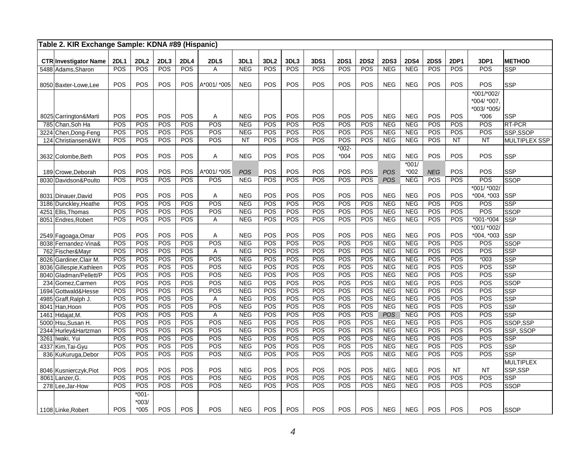|      | Table 2. KIR Exchange Sample: KDNA #89 (Hispanic) |             |                    |            |             |                   |                          |                  |            |             |             |             |                          |                          |                   |            |                                          |                          |
|------|---------------------------------------------------|-------------|--------------------|------------|-------------|-------------------|--------------------------|------------------|------------|-------------|-------------|-------------|--------------------------|--------------------------|-------------------|------------|------------------------------------------|--------------------------|
|      | <b>CTR Investigator Name</b>                      | <b>2DL1</b> | <b>2DL2</b>        | 2DL3       | <b>2DL4</b> | <b>2DL5</b>       | 3DL1                     | 3DL <sub>2</sub> | 3DL3       | <b>3DS1</b> | <b>2DS1</b> | <b>2DS2</b> | <b>2DS3</b>              | <b>2DS4</b>              | <b>2DS5</b>       | 2DP1       | 3DP1                                     | <b>METHOD</b>            |
| 5488 | Adams, Sharon                                     | POS         | POS                | POS        | POS         | Α                 | <b>NEG</b>               | POS              | POS        | POS         | POS         | POS         | <b>NEG</b>               | <b>NEG</b>               | POS               | POS        | POS                                      | <b>SSP</b>               |
|      |                                                   |             |                    |            |             |                   |                          |                  |            |             |             |             |                          |                          |                   |            |                                          |                          |
|      | 8050 Baxter-Lowe, Lee                             | POS         | POS                | POS        | POS         | A*001/ *005       | <b>NEG</b>               | POS              | POS        | POS         | POS         | POS         | <b>NEG</b>               | <b>NEG</b>               | POS               | POS        | POS                                      | SSP                      |
|      |                                                   |             |                    |            |             |                   |                          |                  |            |             |             |             |                          |                          |                   |            | *001/*002/<br>*004/ *007,<br>*003/ *005/ |                          |
|      | 8025 Carrington&Marti                             | POS         | POS                | POS        | POS         | Α                 | <b>NEG</b>               | POS              | POS        | POS         | POS         | POS         | <b>NEG</b>               | <b>NEG</b>               | POS               | POS        | *006                                     | <b>SSP</b>               |
|      | 785 Chan, Soh Ha                                  | POS         | POS                | POS        | POS         | POS               | <b>NEG</b>               | POS              | POS        | POS         | POS         | POS         | <b>NEG</b>               | NEG                      | POS               | POS        | POS                                      | <b>RT-PCR</b>            |
| 3224 | Chen, Dong-Feng                                   | POS         | POS                | POS        | POS         | POS               | <b>NEG</b>               | POS              | POS        | POS         | POS         | POS         | <b>NEG</b>               | <b>NEG</b>               | POS               | POS        | POS                                      | SSP,SSOP                 |
| 124  | Christiansen&Wit                                  | POS         | POS                | POS        | POS         | POS               | <b>NT</b>                | POS              | POS        | POS         | POS         | POS         | <b>NEG</b>               | <b>NEG</b>               | POS               | NT         | <b>NT</b>                                | <b>MULTIPLEX SSP</b>     |
|      |                                                   |             |                    |            |             |                   |                          |                  |            |             | $*002-$     |             |                          |                          |                   |            |                                          |                          |
|      | 3632 Colombe, Beth                                | POS         | POS                | POS        | POS         | Α                 | <b>NEG</b>               | POS              | POS        | POS         | $*004$      | POS         | <b>NEG</b>               | <b>NEG</b>               | POS               | POS        | POS                                      | <b>SSP</b>               |
|      |                                                   |             |                    |            |             |                   |                          |                  |            |             |             |             |                          | $*001/$                  |                   |            | POS                                      |                          |
| 189  | Crowe, Deborah                                    | POS<br>POS  | POS<br>POS         | POS<br>POS | POS<br>POS  | A*001/*005<br>POS | POS<br><b>NEG</b>        | POS<br>POS       | POS<br>POS | POS<br>POS  | POS<br>POS  | POS<br>POS  | POS<br><b>POS</b>        | *002<br><b>NEG</b>       | <b>NEG</b><br>POS | POS<br>POS | POS                                      | SSP<br><b>SSOP</b>       |
|      | 8030 Davidson&Poulto                              |             |                    |            |             |                   |                          |                  |            |             |             |             |                          |                          |                   |            | *001/ *002/                              |                          |
|      | 8031 Dinauer, David                               | POS         | POS                | POS        | POS         | A                 | <b>NEG</b>               | POS              | POS        | POS         | POS         | POS         | <b>NEG</b>               | <b>NEG</b>               | POS               | POS        | *004, *003                               | <b>SSP</b>               |
|      | 3186 Dunckley, Heathe                             | POS         | POS                | POS        | POS         | POS               | <b>NEG</b>               | POS              | POS        | POS         | POS         | POS         | NEG                      | <b>NEG</b>               | POS               | POS        | POS                                      | SSP                      |
| 4251 | Ellis, Thomas                                     | POS         | POS                | POS        | POS         | POS               | <b>NEG</b>               | POS              | POS        | POS         | POS         | POS         | <b>NEG</b>               | NEG                      | POS               | POS        | POS                                      | SSOP                     |
| 8051 | Endres, Robert                                    | POS         | POS                | POS        | POS         | Α                 | <b>NEG</b>               | POS              | POS        | POS         | POS         | POS         | <b>NEG</b>               | <b>NEG</b>               | POS               | POS        | $*001 - *004$                            | <b>SSP</b>               |
|      |                                                   |             |                    |            |             |                   |                          |                  |            |             |             |             |                          |                          |                   |            | *001/ *002/                              |                          |
|      | 2549 Fagoaga, Omar                                | POS         | POS                | POS        | POS         | Α                 | <b>NEG</b>               | POS              | POS        | POS         | POS         | POS         | <b>NEG</b>               | <b>NEG</b>               | POS               | POS        | $*004, *003$                             | SSP                      |
|      | 8038 Fernandez-Vina&                              | POS         | POS                | POS        | POS         | POS               | <b>NEG</b>               | POS              | POS        | POS         | POS         | POS         | <b>NEG</b>               | <b>NEG</b>               | POS               | POS        | POS                                      | <b>SSOP</b>              |
| 762  | Fischer&Mayr                                      | POS         | POS                | POS        | POS         | Α                 | <b>NEG</b>               | POS              | POS        | POS         | POS         | POS         | <b>NEG</b>               | <b>NEG</b>               | POS               | POS        | POS                                      | <b>SSP</b>               |
| 8026 | Gardiner, Clair M.                                | POS         | POS                | POS        | POS         | POS               | <b>NEG</b>               | POS              | POS        | POS         | POS         | POS         | <b>NEG</b>               | <b>NEG</b>               | POS               | POS        | $*003$                                   | <b>SSP</b>               |
| 8036 | Gillespie, Kathleen                               | POS         | POS                | POS        | POS         | POS               | <b>NEG</b>               | POS              | POS        | POS         | POS         | POS         | <b>NEG</b>               | NEG                      | POS               | POS        | POS                                      | <b>SSP</b>               |
| 8040 | Gladman/Pellett/P                                 | POS         | POS                | POS        | POS         | POS               | <b>NEG</b>               | POS              | POS        | POS         | POS         | POS         | <b>NEG</b>               | NEG                      | POS               | POS        | POS                                      | $\overline{\text{SSP}}$  |
| 234  | Gomez, Carmen                                     | POS         | POS                | POS        | POS         | POS               | <b>NEG</b>               | POS              | POS        | POS         | POS         | POS         | <b>NEG</b>               | <b>NEG</b>               | POS               | POS        | POS                                      | <b>SSOP</b>              |
| 1694 | Gottwald&Hesse                                    | POS         | POS                | POS        | POS         | POS               | <b>NEG</b>               | POS              | POS        | POS         | POS         | POS         | <b>NEG</b>               | <b>NEG</b>               | POS               | POS        | POS                                      | <b>SSP</b>               |
| 4985 | Graff, Ralph J.                                   | POS         | POS                | POS        | POS         | Α                 | <b>NEG</b>               | POS              | POS        | POS         | POS         | POS         | <b>NEG</b>               | <b>NEG</b>               | POS               | POS        | POS                                      | <b>SSP</b>               |
| 8041 | Han, Hoon                                         | POS         | POS                | POS        | POS         | POS               | <b>NEG</b>               | POS              | POS        | POS         | POS         | POS         | <b>NEG</b>               | NEG                      | POS               | POS        | POS                                      | <b>SSP</b>               |
| 1461 | Hidajat, M.                                       | POS         | POS                | POS        | POS         | Α                 | <b>NEG</b>               | POS              | POS        | POS         | POS         | POS         | POS                      | <b>NEG</b>               | POS               | POS        | POS                                      | <b>SSP</b>               |
| 5000 | Hsu, Susan H.                                     | POS         | POS                | POS        | POS         | POS               | NEG                      | POS              | POS        | POS         | POS         | POS         | <b>NEG</b>               | NEG                      | POS               | POS        | POS                                      | SSOP,SSP                 |
| 2344 | Hurley&Hartzman                                   | POS         | POS                | POS        | POS<br>POS  | POS<br>POS        | <b>NEG</b>               | POS<br>POS       | POS        | POS         | POS         | POS         | <b>NEG</b>               | NEG                      | POS               | POS        | POS                                      | SSP, SSOP                |
| 3261 | Iwaki, Yui                                        | POS<br>POS  | POS<br>POS         | POS<br>POS | POS         | POS               | <b>NEG</b><br><b>NEG</b> | POS              | POS<br>POS | POS<br>POS  | POS<br>POS  | POS<br>POS  | <b>NEG</b><br><b>NEG</b> | <b>NEG</b><br><b>NEG</b> | POS<br>POS        | POS<br>POS | POS<br>POS                               | <b>SSP</b>               |
|      | 4337 Kim, Tai-Gyu                                 | POS         | POS                | POS        | POS         | POS               | <b>NEG</b>               | POS              | POS        | POS         | POS         | POS         | <b>NEG</b>               |                          | POS               | POS        | POS                                      | <b>SSP</b><br><b>SSP</b> |
|      | 836 KuKuruga, Debor                               |             |                    |            |             |                   |                          |                  |            |             |             |             |                          | <b>NEG</b>               |                   |            |                                          | <b>MULTIPLEX</b>         |
|      | 8046 Kusnierczyk, Piot                            | POS         | POS                | POS        | POS         | POS               | <b>NEG</b>               | POS              | POS        | POS         | POS         | POS         | <b>NEG</b>               | <b>NEG</b>               | POS               | <b>NT</b>  | <b>NT</b>                                | SSP,SSP                  |
| 8061 | Lanzer, G.                                        | POS         | POS                | POS        | POS         | POS               | <b>NEG</b>               | POS              | POS        | POS         | POS         | POS         | <b>NEG</b>               | <b>NEG</b>               | POS               | POS        | POS                                      | SSP                      |
|      | 278 Lee, Jar-How                                  | POS         | POS                | POS        | POS         | POS               | <b>NEG</b>               | POS              | POS        | POS         | POS         | POS         | <b>NEG</b>               | <b>NEG</b>               | POS               | POS        | POS                                      | SSOP                     |
|      |                                                   |             | $*001-$<br>$*003/$ |            |             |                   |                          |                  |            |             |             |             |                          |                          |                   |            |                                          |                          |
|      | 1108 Linke, Robert                                | POS         | $*005$             | POS        | POS         | POS               | <b>NEG</b>               | POS              | POS        | POS         | POS         | POS         | <b>NEG</b>               | <b>NEG</b>               | POS               | POS        | POS                                      | <b>SSOP</b>              |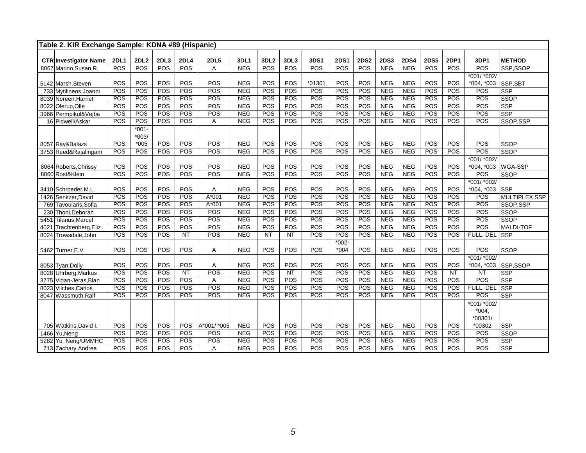|      | Table 2. KIR Exchange Sample: KDNA #89 (Hispanic) |             |                   |            |                   |             |                          |                  |            |            |                  |             |                          |                          |             |                   |             |                         |
|------|---------------------------------------------------|-------------|-------------------|------------|-------------------|-------------|--------------------------|------------------|------------|------------|------------------|-------------|--------------------------|--------------------------|-------------|-------------------|-------------|-------------------------|
|      | <b>CTR Investigator Name</b>                      | <b>2DL1</b> | <b>2DL2</b>       | 2DL3       | <b>2DL4</b>       | <b>2DL5</b> | 3DL1                     | 3DL <sub>2</sub> | 3DL3       | 3DS1       | <b>2DS1</b>      | <b>2DS2</b> | <b>2DS3</b>              | <b>2DS4</b>              | <b>2DS5</b> | <b>2DP1</b>       | 3DP1        | <b>METHOD</b>           |
|      | 8067 Marino, Susan R.                             | POS         | <b>POS</b>        | <b>POS</b> | <b>POS</b>        | A           | <b>NEG</b>               | POS              | <b>POS</b> | <b>POS</b> | POS              | POS         | <b>NEG</b>               | <b>NEG</b>               | <b>POS</b>  | <b>POS</b>        | POS         | SSP,SSOP                |
|      |                                                   |             |                   |            |                   |             |                          |                  |            |            |                  |             |                          |                          |             |                   | *001/ *002/ |                         |
|      | 5142 Marsh, Steven                                | POS         | POS               | POS        | POS               | POS         | <b>NEG</b>               | POS              | POS        | $*01301$   | POS              | POS         | <b>NEG</b>               | <b>NEG</b>               | POS         | POS               | *004, *003  | SSP, SBT                |
|      | 733 Mytilineos, Joanni                            | POS         | <b>POS</b>        | POS        | POS               | <b>POS</b>  | <b>NEG</b>               | <b>POS</b>       | <b>POS</b> | POS        | POS              | POS         | <b>NEG</b>               | <b>NEG</b>               | POS         | POS               | POS         | <b>SSP</b>              |
|      | 8039 Noreen, Harriet                              | POS         | POS               | POS        | POS               | POS         | <b>NEG</b>               | POS              | POS        | POS        | POS              | POS         | <b>NEG</b>               | <b>NEG</b>               | <b>POS</b>  | <b>POS</b>        | POS         | <b>SSOP</b>             |
|      | 8022 Olerup, Olle                                 | POS         | POS               | POS        | POS               | POS         | NEG                      | POS              | POS        | POS        | POS              | POS         | NEG                      | NEG                      | POS         | POS               | POS         | <b>SSP</b>              |
|      | 3966 Permpikul&Vejba                              | POS         | POS               | POS        | POS               | POS         | <b>NEG</b>               | POS              | POS        | POS        | POS              | POS         | <b>NEG</b>               | <b>NEG</b>               | POS         | POS               | POS         | <b>SSP</b>              |
|      | 16 Pidwell/Askar                                  | POS         | POS               | <b>POS</b> | <b>POS</b>        | A           | <b>NEG</b>               | <b>POS</b>       | POS        | <b>POS</b> | POS              | POS         | NEG                      | <b>NEG</b>               | POS         | POS               | POS         | SSOP, SSP               |
|      |                                                   |             | $*001 -$          |            |                   |             |                          |                  |            |            |                  |             |                          |                          |             |                   |             |                         |
|      |                                                   |             | $*003/$           |            |                   |             |                          |                  |            |            |                  |             |                          |                          |             |                   |             |                         |
|      | 8057 Ray&Balazs                                   | POS         | $*005$            | POS        | POS               | POS         | <b>NEG</b>               | POS              | POS        | POS        | POS              | POS         | <b>NEG</b>               | <b>NEG</b>               | POS         | POS               | POS         | <b>SSOP</b>             |
|      | 3753 Reed&Rajalingam                              | POS         | POS               | POS        | POS               | POS         | <b>NEG</b>               | POS              | POS        | <b>POS</b> | POS              | POS         | <b>NEG</b>               | <b>NEG</b>               | POS         | <b>POS</b>        | POS         | <b>SSOP</b>             |
|      |                                                   |             |                   |            |                   |             |                          |                  |            |            |                  |             |                          |                          |             |                   | *001/ *002/ |                         |
|      | 8064 Roberts, Chrissy                             | POS         | POS               | POS        | POS               | POS         | <b>NEG</b>               | POS              | POS        | POS        | POS              | POS         | <b>NEG</b>               | <b>NEG</b>               | POS         | POS               | *004, *003  | WGA-SSP                 |
|      | 8060 Rost&Klein                                   | POS         | POS               | POS        | POS               | POS         | <b>NEG</b>               | POS              | POS        | POS        | POS              | POS         | <b>NEG</b>               | <b>NEG</b>               | POS         | POS               | POS         | <b>SSOP</b>             |
|      |                                                   |             |                   |            |                   |             |                          |                  |            |            |                  |             |                          |                          |             |                   | *001/ *002/ |                         |
|      | 3410 Schroeder, M.L.                              | POS         | POS               | POS        | POS               | Α           | <b>NEG</b>               | POS              | POS        | POS        | POS              | POS         | <b>NEG</b>               | <b>NEG</b>               | POS         | POS               | *004, *003  | <b>SSP</b>              |
|      | 1426 Senitzer, David                              | POS         | POS               | POS        | POS               | A*001       | <b>NEG</b>               | POS              | POS        | POS        | POS              | POS         | <b>NEG</b>               | <b>NEG</b>               | POS         | POS               | POS         | MULTIPLEX SSP           |
|      | 769 Tavoularis, Sofia                             | POS         | POS               | POS        | POS               | $A*001$     | <b>NEG</b>               | POS              | POS        | POS        | POS              | POS         | <b>NEG</b>               | <b>NEG</b>               | POS         | <b>POS</b>        | POS         | SSOP, SSP               |
|      | 230 Thoni, Deborah                                | POS         | POS               | POS<br>POS | <b>POS</b><br>POS | POS<br>POS  | <b>NEG</b><br><b>NEG</b> | POS<br>POS       | POS<br>POS | POS<br>POS | POS<br>POS       | POS<br>POS  | <b>NEG</b><br><b>NEG</b> | <b>NEG</b><br><b>NEG</b> | POS<br>POS  | <b>POS</b><br>POS | POS         | <b>SSOP</b>             |
| 5451 | Tilanus, Marcel                                   | POS<br>POS  | <b>POS</b><br>POS | POS        | <b>POS</b>        | POS         | NEG                      | POS              | POS        | POS        | POS              | POS         | <b>NEG</b>               | <b>NEG</b>               | POS         | POS               | POS<br>POS  | <b>SSOP</b>             |
| 4021 | Trachtenberg, Eliz                                | POS         | POS               | POS        | $\overline{NT}$   | POS         | <b>NEG</b>               | $\overline{NT}$  | <b>NT</b>  | POS        | $\overline{POS}$ | POS         | <b>NEG</b>               | <b>NEG</b>               | POS         | POS               | FULL, DEL   | MALDI-TOF<br><b>SSP</b> |
|      | 8024 Trowsdale, John                              |             |                   |            |                   |             |                          |                  |            |            | $*002-$          |             |                          |                          |             |                   |             |                         |
|      | 5462 Turner, E.V.                                 | POS         | POS               | POS        | POS               | Α           | <b>NEG</b>               | POS              | POS        | POS        | $*004$           | POS         | <b>NEG</b>               | <b>NEG</b>               | POS         | POS               | POS         | <b>SSOP</b>             |
|      |                                                   |             |                   |            |                   |             |                          |                  |            |            |                  |             |                          |                          |             |                   | *001/ *002/ |                         |
|      | 8053 Tyan, Dolly                                  | POS         | POS               | POS        | POS               | Α           | <b>NEG</b>               | POS              | POS        | POS        | POS              | POS         | <b>NEG</b>               | <b>NEG</b>               | POS         | POS               | *004, *003  | SSP,SSOP                |
|      | 8028 Uhrberg, Markus                              | POS         | POS               | <b>POS</b> | NT                | POS         | <b>NEG</b>               | POS              | NT         | <b>POS</b> | POS              | POS         | <b>NEG</b>               | <b>NEG</b>               | <b>POS</b>  | NT                | NT          | <b>SSP</b>              |
|      | 3775 Vidan-Jeras, Blan                            | POS         | POS               | POS        | POS               | Α           | <b>NEG</b>               | POS              | POS        | POS        | POS              | POS         | <b>NEG</b>               | <b>NEG</b>               | POS         | <b>POS</b>        | POS         | <b>SSP</b>              |
|      | 8023 Vilches, Carlos                              | POS         | POS               | POS        | POS               | POS         | <b>NEG</b>               | POS              | POS        | POS        | POS              | POS         | <b>NEG</b>               | <b>NEG</b>               | POS         | POS               | FULL, DEL   | $\overline{\text{SSP}}$ |
|      | 8047 Wassmuth.Ralf                                | POS         | POS               | POS        | <b>POS</b>        | POS         | <b>NEG</b>               | POS              | <b>POS</b> | <b>POS</b> | POS              | POS         | <b>NEG</b>               | <b>NEG</b>               | <b>POS</b>  | POS               | POS         | <b>SSP</b>              |
|      |                                                   |             |                   |            |                   |             |                          |                  |            |            |                  |             |                          |                          |             |                   | *001/ *002/ |                         |
|      |                                                   |             |                   |            |                   |             |                          |                  |            |            |                  |             |                          |                          |             |                   | $*004,$     |                         |
|      |                                                   |             |                   |            |                   |             |                          |                  |            |            |                  |             |                          |                          |             |                   | *00301/     |                         |
|      | 705 Watkins.David I.                              | POS         | POS               | POS        | POS               | A*001/ *005 | <b>NEG</b>               | POS              | POS        | POS        | POS              | POS         | <b>NEG</b>               | <b>NEG</b>               | POS         | <b>POS</b>        | *00302      | <b>SSP</b>              |
|      | 1466 Yu, Neng                                     | POS         | POS               | POS        | POS               | POS         | NEG                      | POS              | <b>POS</b> | POS        | POS              | POS         | <b>NEG</b>               | NEG                      | POS         | <b>POS</b>        | POS         | <b>SSOP</b>             |
|      | 5282 Yu_Neng/UMMHC                                | POS         | POS               | POS        | POS               | POS         | <b>NEG</b>               | POS              | POS        | POS        | POS              | POS         | <b>NEG</b>               | <b>NEG</b>               | POS         | POS               | POS         | <b>SSP</b>              |
|      | 713 Zachary, Andrea                               | POS         | POS               | POS        | POS               | Α           | <b>NEG</b>               | POS              | <b>POS</b> | POS        | POS              | POS         | <b>NEG</b>               | <b>NEG</b>               | POS         | POS               | POS         | <b>SSP</b>              |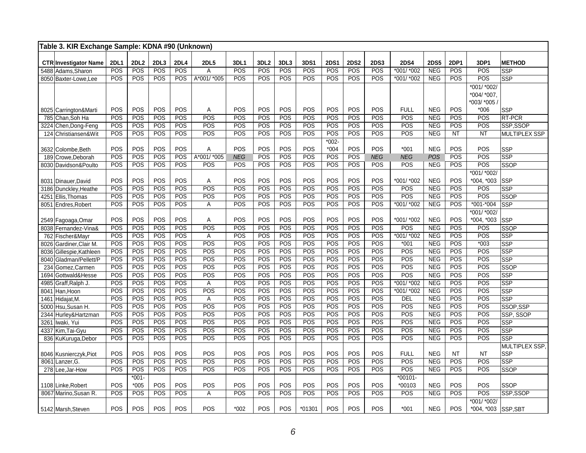| Table 3. KIR Exchange Sample: KDNA #90 (Unknown) |             |             |            |            |             |            |                  |            |            |             |             |             |                  |                   |            |                     |                          |
|--------------------------------------------------|-------------|-------------|------------|------------|-------------|------------|------------------|------------|------------|-------------|-------------|-------------|------------------|-------------------|------------|---------------------|--------------------------|
| <b>CTR Investigator Name</b>                     | <b>2DL1</b> | <b>2DL2</b> | 2DL3       | 2DL4       | <b>2DL5</b> | 3DL1       | 3DL <sub>2</sub> | 3DL3       | 3DS1       | <b>2DS1</b> | <b>2DS2</b> | <b>2DS3</b> | <b>2DS4</b>      | <b>2DS5</b>       | 2DP1       | 3DP1                | <b>METHOD</b>            |
| 5488 Adams, Sharon                               | POS         | POS         | POS        | <b>POS</b> | A           | POS        | $\overline{POS}$ | POS        | POS        | POS         | POS         | POS         | *001/ *002       | <b>NEG</b>        | POS        | POS                 | <b>SSP</b>               |
| 8050 Baxter-Lowe.Lee                             | <b>POS</b>  | POS         | POS        | POS        | A*001/ *005 | POS        | POS              | POS        | POS        | POS         | POS         | POS         | $*001/*002$      | NEG               | POS        | POS                 | <b>SSP</b>               |
|                                                  |             |             |            |            |             |            |                  |            |            |             |             |             |                  |                   |            | *001/ *002/         |                          |
|                                                  |             |             |            |            |             |            |                  |            |            |             |             |             |                  |                   |            | *004/ *007,         |                          |
|                                                  |             |             |            |            |             |            |                  |            |            |             |             |             |                  |                   |            | *003/ *005 ،        |                          |
| 8025 Carrington&Marti                            | POS         | POS         | POS        | POS        | A           | POS        | POS              | POS        | POS        | POS         | POS         | <b>POS</b>  | <b>FULL</b>      | <b>NEG</b>        | <b>POS</b> | $*006$              | <b>SSP</b>               |
| 785 Chan, Soh Ha                                 | POS         | POS         | POS        | POS        | POS         | POS        | POS              | POS        | POS        | POS         | POS         | POS         | POS              | <b>NEG</b>        | POS        | POS                 | <b>RT-PCR</b>            |
| 3224 Chen, Dong-Feng                             | POS         | POS         | POS        | POS        | POS         | POS        | POS              | POS        | POS        | POS         | POS         | POS         | $\overline{POS}$ | <b>NEG</b>        | POS        | POS                 | SSP,SSOP                 |
| 124 Christiansen&Wit                             | POS         | POS         | POS        | POS        | POS         | POS        | <b>POS</b>       | POS        | POS        | POS         | POS         | POS         | POS              | <b>NEG</b>        | <b>NT</b>  | NT                  | <b>MULTIPLEX SSP</b>     |
|                                                  |             |             |            |            |             |            |                  |            |            | $*002-$     |             |             |                  |                   |            |                     |                          |
| 3632 Colombe, Beth                               | POS         | POS         | POS        | POS        | Α           | POS        | POS              | POS        | POS        | $*004$      | POS         | POS         | $*001$           | <b>NEG</b>        | POS        | POS                 | <b>SSP</b>               |
| 189 Crowe, Deborah                               | POS         | POS         | POS        | POS        | A*001/*005  | <b>NEG</b> | POS              | POS        | POS        | POS         | POS         | <b>NEG</b>  | <b>NEG</b>       | <b>POS</b>        | POS        | POS                 | <b>SSP</b>               |
| 8030 Davidson&Poulto                             | POS         | POS         | POS        | POS        | POS         | POS        | POS              | POS        | POS        | POS         | POS         | POS         | POS              | <b>NEG</b>        | POS        | POS<br>*001/ *002/  | <b>SSOP</b>              |
| 8031 Dinauer, David                              | POS         | POS         | POS        | <b>POS</b> | Α           | POS        | POS              | POS        | POS        | POS         | POS         | POS         | *001/ *002       | <b>NEG</b>        | POS        | *004, *003          | <b>SSP</b>               |
| 3186 Dunckley, Heathe                            | POS         | POS         | POS        | POS        | POS         | POS        | POS              | POS        | POS        | POS         | POS         | POS         | POS              | <b>NEG</b>        | POS        | POS                 | <b>SSP</b>               |
| 4251 Ellis, Thomas                               | POS         | POS         | POS        | POS        | POS         | POS        | <b>POS</b>       | POS        | POS        | POS         | POS         | POS         | POS              | <b>NEG</b>        | POS        | POS                 | <b>SSOP</b>              |
| 8051 Endres, Robert                              | POS         | POS         | POS        | POS        | A           | POS        | POS              | POS        | POS        | POS         | POS         | POS         | *001/ *002       | NEG               | POS        | $*001 - 004$        | <b>SSP</b>               |
|                                                  |             |             |            |            |             |            |                  |            |            |             |             |             |                  |                   |            | *001/ *002/         |                          |
| 2549 Fagoaga, Omar                               | POS         | POS         | POS        | POS        | Α           | POS        | POS              | POS        | POS        | POS         | POS         | POS         | *001/ *002       | <b>NEG</b>        | POS        | *004, *003          | <b>SSP</b>               |
| 8038 Fernandez-Vina&                             | POS         | POS         | POS        | POS        | POS         | POS        | POS              | POS        | POS        | POS         | POS         | POS         | POS              | <b>NEG</b>        | POS        | POS                 | <b>SSOP</b>              |
| 762 Fischer&Mayr                                 | POS         | POS         | POS        | POS        | Α           | POS        | POS              | POS        | POS        | POS         | POS         | POS         | $*001/*002$      | NEG               | POS        | POS                 | SSP                      |
| 8026 Gardiner, Clair M.                          | POS         | POS         | POS        | POS        | POS         | POS        | POS              | POS        | POS        | POS         | POS         | POS         | $*001$           | <b>NEG</b>        | POS        | $*003$              | <b>SSP</b>               |
| 8036 Gillespie, Kathleen                         | POS         | POS         | POS        | POS        | POS         | POS        | POS              | POS        | POS        | POS         | POS         | POS         | POS              | <b>NEG</b>        | POS        | POS                 | <b>SSP</b>               |
| 8040 Gladman/Pellett/P                           | POS         | POS         | POS        | POS        | POS         | POS        | POS              | POS        | POS        | POS         | POS         | POS         | POS              | <b>NEG</b>        | POS        | POS                 | <b>SSP</b>               |
| 234 Gomez, Carmen                                | POS         | POS         | POS        | POS        | POS         | POS        | POS              | POS        | POS        | POS         | POS         | POS         | POS              | <b>NEG</b>        | POS        | POS                 | <b>SSOP</b>              |
| 1694 Gottwald&Hesse                              | POS         | POS         | POS        | POS        | POS         | POS        | POS              | POS        | POS        | POS         | POS         | POS         | POS              | <b>NEG</b>        | POS        | POS                 | <b>SSP</b>               |
| 4985 Graff, Ralph J.                             | POS         | POS         | POS        | POS        | Α           | POS        | POS              | POS        | POS        | POS         | POS         | POS         | *001/ *002       | <b>NEG</b>        | POS        | POS                 | <b>SSP</b>               |
| 8041 Han, Hoon                                   | POS         | POS         | POS        | POS        | POS         | POS        | POS              | POS        | POS        | POS         | POS         | POS         | $*001/*002$      | <b>NEG</b>        | POS        | POS                 | <b>SSP</b>               |
| 1461 Hidajat, M.                                 | POS         | POS         | POS        | POS        | A           | POS        | POS              | POS        | POS        | POS         | POS         | POS         | DEL              | <b>NEG</b>        | POS        | POS                 | <b>SSP</b>               |
| 5000 Hsu.Susan H.                                | POS         | POS         | POS        | POS        | POS         | POS        | POS              | POS        | POS        | POS         | POS         | POS         | POS              | <b>NEG</b>        | POS        | POS                 | SSOP, SSP                |
| 2344 Hurley& Hartzman                            | POS<br>POS  | POS<br>POS  | POS<br>POS | POS<br>POS | POS<br>POS  | POS<br>POS | POS<br>POS       | POS<br>POS | POS<br>POS | POS<br>POS  | POS<br>POS  | POS<br>POS  | POS<br>POS       | <b>NEG</b>        | POS<br>POS | POS<br>POS          | SSP, SSOP                |
| 3261 Iwaki, Yui                                  | POS         | POS         | POS        | POS        | POS         | POS        | POS              | POS        | POS        | POS         | POS         | POS         | POS              | <b>NEG</b><br>NEG | POS        | POS                 | <b>SSP</b><br><b>SSP</b> |
| 4337 Kim, Tai-Gyu                                | POS         | POS         | POS        | POS        | POS         | POS        | POS              | POS        | POS        | POS         | POS         | POS         | POS              | <b>NEG</b>        | POS        | POS                 | <b>SSP</b>               |
| 836 KuKuruga, Debor                              |             |             |            |            |             |            |                  |            |            |             |             |             |                  |                   |            |                     | MULTIPLEX SSP,           |
|                                                  | POS         | POS         | POS        | POS        | POS         | POS        | POS              | POS        | POS        | POS         | POS         | POS         | <b>FULL</b>      | <b>NEG</b>        | <b>NT</b>  | <b>NT</b>           | <b>SSP</b>               |
| 8046 Kusnierczyk, Piot<br>8061 Lanzer, G.        | POS         | POS         | POS        | POS        | POS         | POS        | POS              | POS        | POS        | POS         | POS         | POS         | POS              | <b>NEG</b>        | POS        | POS                 | <b>SSP</b>               |
| 278 Lee, Jar-How                                 | POS         | POS         | POS        | POS        | POS         | POS        | POS              | POS        | POS        | POS         | POS         | POS         | POS              | NEG               | POS        | POS                 | <b>SSOP</b>              |
|                                                  |             | $*001 -$    |            |            |             |            |                  |            |            |             |             |             | $*00101 -$       |                   |            |                     |                          |
| 1108 Linke, Robert                               | POS         | $*005$      | POS        | POS        | POS         | POS        | <b>POS</b>       | POS        | POS        | POS         | POS         | POS         | *00103           | <b>NEG</b>        | POS        | POS                 | <b>SSOP</b>              |
| 8067 Marino, Susan R.                            | POS         | POS         | POS        | POS        | A           | POS        | POS              | POS        | POS        | POS         | POS         | POS         | POS              | <b>NEG</b>        | POS        | POS                 | SSP,SSOP                 |
|                                                  |             |             |            |            |             |            |                  |            |            |             |             |             |                  |                   |            | *001/ *002/         |                          |
| 5142 Marsh, Steven                               | POS         | POS         | POS        | POS        | POS         | $*002$     | <b>POS</b>       | POS        | $*01301$   | POS         | POS         | POS         | $*001$           | <b>NEG</b>        | POS        | *004, *003 SSP, SBT |                          |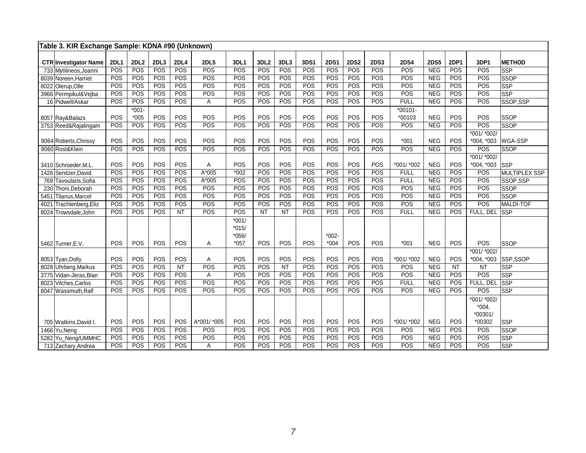| Table 3. KIR Exchange Sample: KDNA #90 (Unknown) |             |                   |      |             |             |                                         |                 |      |      |                   |             |             |                      |             |             |                                   |                |
|--------------------------------------------------|-------------|-------------------|------|-------------|-------------|-----------------------------------------|-----------------|------|------|-------------------|-------------|-------------|----------------------|-------------|-------------|-----------------------------------|----------------|
| <b>CTR Investigator Name</b>                     | <b>2DL1</b> | 2DL2              | 2DL3 | <b>2DL4</b> | <b>2DL5</b> | 3DL1                                    | 3DL2            | 3DL3 | 3DS1 | <b>2DS1</b>       | <b>2DS2</b> | <b>2DS3</b> | <b>2DS4</b>          | <b>2DS5</b> | <b>2DP1</b> | 3DP1                              | <b>METHOD</b>  |
| 733 Mytilineos, Joanni                           | POS         | POS               | POS  | POS         | POS         | POS                                     | POS             | POS  | POS  | POS               | POS         | POS         | POS                  | <b>NEG</b>  | POS         | POS                               | lssp           |
| 8039 Noreen. Harriet                             | POS         | POS               | POS  | <b>POS</b>  | POS         | POS                                     | POS             | POS  | POS  | POS               | POS         | POS         | <b>POS</b>           | <b>NEG</b>  | POS         | POS                               | <b>SSOP</b>    |
| 8022 Olerup, Olle                                | POS         | POS               | POS  | POS         | POS         | POS                                     | POS             | POS  | POS  | POS               | POS         | POS         | <b>POS</b>           | <b>NEG</b>  | POS         | POS                               | <b>SSP</b>     |
| 3966 Permpikul&Vejba                             | POS         | POS               | POS  | POS         | POS         | POS                                     | POS             | POS  | POS  | POS               | <b>POS</b>  | POS         | POS                  | <b>NEG</b>  | POS         | POS                               | <b>SSP</b>     |
| 16 Pidwell/Askar                                 | POS         | POS               | POS  | POS         | A           | POS                                     | POS             | POS  | POS  | POS               | POS         | POS         | <b>FULL</b>          | <b>NEG</b>  | POS         | POS                               | SSOP,SSP       |
|                                                  | POS         | $*001-$<br>$*005$ | POS  | POS         | POS         | POS                                     | POS             | POS  | POS  | POS               | POS         | POS         | $*00101 -$<br>*00103 | <b>NEG</b>  | POS         | POS                               | SSOP           |
| 8057 Ray&Balazs<br>3753 Reed&Rajalingam          | POS         | POS               | POS  | POS         | POS         | POS                                     | POS             | POS  | POS  | POS               | POS         | POS         | POS                  | <b>NEG</b>  | POS         | POS                               | SSOP           |
|                                                  |             |                   |      |             |             |                                         |                 |      |      |                   |             |             |                      |             |             | *001/ *002/                       |                |
| 8064 Roberts, Chrissy                            | POS         | POS               | POS  | POS         | POS         | POS                                     | POS             | POS  | POS  | POS               | POS         | POS         | $*001$               | <b>NEG</b>  | POS         | *004, *003                        | <b>WGA-SSP</b> |
| 8060 Rost&Klein                                  | POS         | POS               | POS  | POS         | POS         | POS                                     | POS             | POS  | POS  | POS               | POS         | POS         | POS                  | <b>NEG</b>  | POS         | POS                               | <b>SSOP</b>    |
|                                                  |             |                   |      |             |             |                                         |                 |      |      |                   |             |             |                      |             |             | *001/ *002/                       |                |
| 3410 Schroeder, M.L.                             | POS         | POS               | POS  | POS         | A           | POS                                     | POS             | POS  | POS  | POS               | POS         | POS         | *001/ *002           | <b>NEG</b>  | POS         | *004, *003                        | <b>SSP</b>     |
| 1426 Senitzer David                              | POS         | POS               | POS  | POS         | $A*005$     | $*002$                                  | POS             | POS  | POS  | POS               | POS         | POS         | <b>FULL</b>          | <b>NEG</b>  | POS         | POS                               | MULTIPLEX SSP  |
| 769 Tavoularis, Sofia                            | POS         | POS               | POS  | POS         | $A*005$     | POS                                     | POS             | POS  | POS  | POS               | POS         | POS         | <b>FULL</b>          | <b>NEG</b>  | POS         | POS                               | SSOP,SSP       |
| 230 Thoni, Deborah                               | POS         | POS               | POS  | POS         | POS         | POS                                     | POS             | POS  | POS  | POS               | POS         | POS         | POS                  | <b>NEG</b>  | POS         | POS                               | SSOP           |
| Tilanus, Marcel<br>5451                          | POS         | POS               | POS  | POS         | POS         | POS                                     | POS             | POS  | POS  | POS               | POS         | POS         | POS                  | <b>NEG</b>  | POS         | POS                               | SSOP           |
| 4021<br>Trachtenberg, Eliz                       | POS         | POS               | POS  | POS         | POS         | POS                                     | POS             | POS  | POS  | POS               | POS         | POS         | POS                  | <b>NEG</b>  | POS         | POS                               | MALDI-TOF      |
| 8024<br>Trowsdale, John                          | POS         | POS               | POS  | <b>NT</b>   | POS         | POS                                     | $\overline{NT}$ | NT   | POS  | POS               | POS         | POS         | <b>FULL</b>          | <b>NEG</b>  | POS         | FULL, DEL                         | <b>SSP</b>     |
| 5462 Turner, E.V.                                | POS         | POS               | POS  | POS         | A           | $*001/$<br>$*015/$<br>$*056/$<br>$*057$ | POS             | POS  | POS  | $*002-$<br>$*004$ | POS         | POS         | $*001$               | <b>NEG</b>  | POS         | POS                               | <b>SSOP</b>    |
|                                                  |             |                   |      |             |             |                                         |                 |      |      |                   |             |             |                      |             |             | *001/ *002/                       |                |
| 8053 Tyan, Dolly                                 | POS         | POS               | POS  | POS         | A           | POS                                     | POS             | POS  | POS  | POS               | POS         | POS         | *001/ *002           | <b>NEG</b>  | POS         | *004, *003                        | SSP,SSOP       |
| 8028 Uhrberg, Markus                             | POS         | POS               | POS  | <b>NT</b>   | <b>POS</b>  | POS                                     | POS             | NT   | POS  | POS               | <b>POS</b>  | POS         | POS                  | <b>NEG</b>  | <b>NT</b>   | <b>NT</b>                         | <b>SSP</b>     |
| 3775 Vidan-Jeras, Blan                           | POS         | POS               | POS  | POS         | A           | POS                                     | POS             | POS  | POS  | POS               | POS         | POS         | POS                  | <b>NEG</b>  | POS         | POS                               | <b>SSP</b>     |
| 8023 Vilches, Carlos                             | POS         | POS               | POS  | POS         | POS         | POS                                     | POS             | POS  | POS  | POS               | POS         | POS         | <b>FULL</b>          | <b>NEG</b>  | POS         | FULL, DEL                         | <b>SSP</b>     |
| 8047 Wassmuth, Ralf                              | POS         | POS               | POS  | POS         | POS         | POS                                     | POS             | POS  | POS  | POS               | POS         | POS         | POS                  | <b>NEG</b>  | POS         | POS                               | <b>SSP</b>     |
|                                                  |             |                   |      |             |             |                                         |                 |      |      |                   |             |             |                      |             |             | *001/ *002/<br>$*004,$<br>*00301/ |                |
| 705 Watkins, David I.                            | POS         | POS               | POS  | POS         | A*001/ *005 | POS                                     | POS             | POS  | POS  | POS               | POS         | POS         | *001/ *002           | <b>NEG</b>  | POS         | *00302                            | SSP            |
| 1466 Yu, Neng                                    | POS         | POS               | POS  | POS         | POS         | POS                                     | POS             | POS  | POS  | POS               | POS         | POS         | POS                  | <b>NEG</b>  | POS         | POS                               | SSOP           |
| 5282 Yu_Neng/UMMHC                               | POS         | POS               | POS  | POS         | POS         | POS                                     | POS             | POS  | POS  | POS               | POS         | POS         | POS                  | <b>NEG</b>  | POS         | POS                               | SSP            |
| 713 Zachary, Andrea                              | POS         | POS               | POS  | POS         | A           | POS                                     | POS             | POS  | POS  | POS               | POS         | POS         | POS                  | <b>NEG</b>  | POS         | POS                               | <b>SSP</b>     |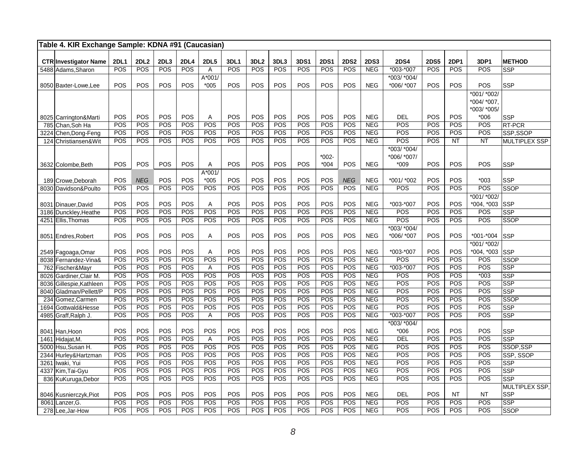| Table 4. KIR Exchange Sample: KDNA #91 (Caucasian) |             |             |            |             |                    |            |                  |            |             |                    |             |                          |                                       |             |                   |                                           |                              |
|----------------------------------------------------|-------------|-------------|------------|-------------|--------------------|------------|------------------|------------|-------------|--------------------|-------------|--------------------------|---------------------------------------|-------------|-------------------|-------------------------------------------|------------------------------|
| <b>CTR Investigator Name</b>                       | <b>2DL1</b> | <b>2DL2</b> | 2DL3       | <b>2DL4</b> | <b>2DL5</b>        | 3DL1       | 3DL <sub>2</sub> | 3DL3       | <b>3DS1</b> | <b>2DS1</b>        | <b>2DS2</b> | <b>2DS3</b>              | <b>2DS4</b>                           | <b>2DS5</b> | 2DP1              | 3DP1                                      | <b>METHOD</b>                |
| 5488 Adams, Sharon                                 | POS         | POS         | POS        | POS         | $\overline{A}$     | POS        | POS              | POS        | POS         | POS                | POS         | <b>NEG</b>               | *003-*007                             | POS         | POS               | POS                                       | <b>SSP</b>                   |
|                                                    |             |             |            |             | $A*001/$           |            |                  |            |             |                    |             |                          | *003/ *004/                           |             |                   |                                           |                              |
| 8050 Baxter-Lowe.Lee                               | POS         | POS         | POS        | POS         | $*005$             | <b>POS</b> | POS              | POS        | POS         | POS                | POS         | <b>NEG</b>               | *006/ *007                            | POS         | POS               | POS                                       | <b>SSP</b>                   |
|                                                    |             |             |            |             |                    |            |                  |            |             |                    |             |                          |                                       |             |                   | *001/ *002/<br>*004/ *007.<br>*003/ *005/ |                              |
| 8025 Carrington&Marti                              | POS         | POS         | POS        | POS         | Α                  | POS        | POS              | POS        | POS         | POS                | POS         | <b>NEG</b>               | <b>DEL</b>                            | POS         | POS               | $*006$                                    | <b>SSP</b>                   |
| 785 Chan, Soh Ha                                   | POS         | <b>POS</b>  | POS        | POS         | POS                | POS        | POS              | <b>POS</b> | POS         | POS                | POS         | NEG                      | POS                                   | POS         | POS               | POS                                       | <b>RT-PCR</b>                |
| 3224 Chen, Dong-Feng                               | POS         | POS         | POS        | POS         | POS                | POS        | POS              | POS        | POS         | POS                | POS         | <b>NEG</b>               | POS                                   | POS         | POS               | POS                                       | SSP,SSOP                     |
| 124 Christiansen& Wit                              | POS         | POS         | POS        | POS         | POS                | POS        | POS              | POS        | POS         | POS                | POS         | <b>NEG</b>               | $\overline{POS}$                      | POS         | <b>NT</b>         | <b>NT</b>                                 | <b>MULTIPLEX SSP</b>         |
| 3632 Colombe, Beth                                 | POS         | POS         | POS        | POS         | A                  | POS        | POS              | POS        | POS         | $*002 -$<br>$*004$ | POS         | <b>NEG</b>               | $*003/*004/$<br>*006/ *007/<br>$*009$ | POS         | POS               | POS                                       | <b>SSP</b>                   |
| 189 Crowe, Deborah                                 | POS         | <b>NEG</b>  | POS        | POS         | $A*001/$<br>$*005$ | POS        | POS              | POS        | POS         | POS                | <b>NEG</b>  | <b>NEG</b>               | *001/ *002                            | POS         | POS               | $*003$                                    | <b>SSP</b>                   |
| 8030 Davidson&Poulto                               | POS         | POS         | POS        | POS         | POS                | POS        | POS              | POS        | POS         | POS                | POS         | <b>NEG</b>               | POS                                   | POS         | POS               | POS                                       | <b>SSOP</b>                  |
| 8031 Dinauer, David                                | POS         | POS         | POS        | POS         | Α                  | POS        | POS              | POS        | POS         | POS                | POS         | <b>NEG</b>               | *003-*007                             | POS         | <b>POS</b>        | *001/ *002/<br>*004, *003                 | <b>SSP</b>                   |
| 3186 Dunckley, Heathe                              | POS         | POS         | POS        | POS         | POS                | POS        | POS              | POS        | POS         | POS                | POS         | <b>NEG</b>               | POS                                   | POS         | POS               | POS                                       | $\overline{\text{SSP}}$      |
| 4251 Ellis, Thomas                                 | POS         | POS         | POS        | POS         | POS                | POS        | POS              | <b>POS</b> | POS         | POS                | POS         | NEG                      | POS                                   | POS         | <b>POS</b>        | POS                                       | <b>SSOP</b>                  |
| 8051 Endres, Robert                                | POS         | POS         | POS        | POS         | Α                  | POS        | POS              | POS        | POS         | POS                | POS         | <b>NEG</b>               | $*003/$ $*004/$<br>*006/ *007         | POS         | POS               | *001-*004                                 | <b>SSP</b>                   |
| 2549 Fagoaga, Omar                                 | POS         | POS         | POS        | POS         | Α                  | POS        | POS              | POS        | POS         | POS                | POS         | <b>NEG</b>               | *003-*007                             | POS         | POS               | *001/ *002/<br>*004, *003                 | SSP                          |
| 8038 Fernandez-Vina&                               | POS         | POS         | POS        | POS         | POS                | POS        | POS              | POS        | POS         | POS                | POS         | <b>NEG</b>               | POS                                   | POS         | POS               | POS                                       | <b>SSOP</b>                  |
| 762 Fischer&Mayr                                   | POS         | POS         | POS        | POS         | A                  | POS        | POS              | POS        | POS         | POS                | POS         | <b>NEG</b>               | $*003 - *007$                         | POS         | POS               | POS                                       | <b>SSP</b>                   |
| 8026 Gardiner, Clair M.                            | POS         | POS         | POS        | POS         | POS                | POS        | POS              | POS        | POS         | POS                | POS         | <b>NEG</b>               | POS                                   | POS         | POS               | $*003$                                    | <b>SSP</b>                   |
| 8036 Gillespie, Kathleen                           | POS         | POS         | POS        | POS         | POS                | POS        | POS              | POS        | POS         | POS                | POS         | <b>NEG</b>               | POS                                   | POS         | POS               | POS                                       | <b>SSP</b>                   |
| 8040 Gladman/Pellett/P                             | POS         | POS         | POS        | POS         | POS                | POS        | POS              | POS        | POS         | POS                | POS         | <b>NEG</b>               | POS                                   | POS         | POS               | POS                                       | <b>SSP</b>                   |
| 234 Gomez, Carmen                                  | POS         | POS<br>POS  | POS        | POS         | POS                | POS<br>POS | POS<br>POS       | POS<br>POS | POS         | POS<br>POS         | POS<br>POS  | <b>NEG</b>               | POS<br>POS                            | POS         | POS               | POS                                       | <b>SSOP</b>                  |
| 1694 Gottwald&Hesse                                | POS<br>POS  | POS         | POS<br>POS | POS<br>POS  | POS<br>Α           | POS        | POS              | POS        | POS<br>POS  | POS                | POS         | <b>NEG</b><br><b>NEG</b> | $*003 - *007$                         | POS<br>POS  | POS<br><b>POS</b> | POS<br>POS                                | <b>SSP</b>                   |
| 4985 Graff, Ralph J.                               |             |             |            |             |                    |            |                  |            |             |                    |             |                          | *003/ *004/                           |             |                   |                                           | <b>SSP</b>                   |
| 8041 Han, Hoon                                     | POS         | POS         | POS        | POS         | POS                | POS        | POS              | POS        | POS         | POS                | POS         | <b>NEG</b>               | $*006$                                | POS         | POS               | POS                                       | <b>SSP</b>                   |
| 1461<br>Hidajat, M.                                | POS         | POS         | POS        | POS         | A                  | POS        | POS              | POS        | POS         | POS                | POS         | <b>NEG</b>               | DEL                                   | POS         | POS               | POS                                       | <b>SSP</b>                   |
| 5000 Hsu, Susan H.                                 | POS         | POS         | POS        | POS         | POS                | POS        | POS              | POS        | POS         | POS                | POS         | <b>NEG</b>               | POS                                   | POS         | POS               | POS                                       | SSOP, SSP                    |
| 2344 Hurley& Hartzman                              | POS         | POS         | POS        | POS         | POS                | POS        | POS              | POS        | POS         | POS                | POS         | <b>NEG</b>               | POS                                   | POS         | POS               | POS                                       | SSP, SSOP                    |
| 3261 Iwaki, Yui                                    | POS         | POS         | POS        | POS         | POS                | POS        | POS              | POS        | POS         | POS                | POS         | <b>NEG</b>               | POS                                   | POS         | POS               | POS                                       | <b>SSP</b>                   |
| 4337 Kim, Tai-Gyu                                  | POS         | POS         | POS        | POS         | POS                | POS        | POS              | POS        | POS         | POS                | POS         | <b>NEG</b>               | POS                                   | POS         | POS               | POS                                       | <b>SSP</b>                   |
| 836 KuKuruga, Debor                                | POS         | POS         | POS        | POS         | POS                | POS        | POS              | POS        | POS         | POS                | POS         | <b>NEG</b>               | POS                                   | POS         | POS               | POS                                       | <b>SSP</b>                   |
| 8046 Kusnierczyk, Piot                             | POS         | POS         | POS        | POS         | POS                | POS        | POS              | POS        | POS         | POS                | POS         | <b>NEG</b>               | <b>DEL</b>                            | POS         | <b>NT</b>         | <b>NT</b>                                 | MULTIPLEX SSP,<br><b>SSP</b> |
| $\overline{806}1$ Lanzer, G.                       | POS         | POS         | POS        | POS         | POS                | POS        | POS              | POS        | POS         | POS                | POS         | <b>NEG</b>               | POS                                   | POS         | POS               | POS                                       | <b>SSP</b>                   |
| 278 Lee, Jar-How                                   | POS         | POS         | POS        | POS         | POS                | POS        | POS              | POS        | POS         | POS                | POS         | <b>NEG</b>               | POS                                   | POS         | POS               | POS                                       | <b>SSOP</b>                  |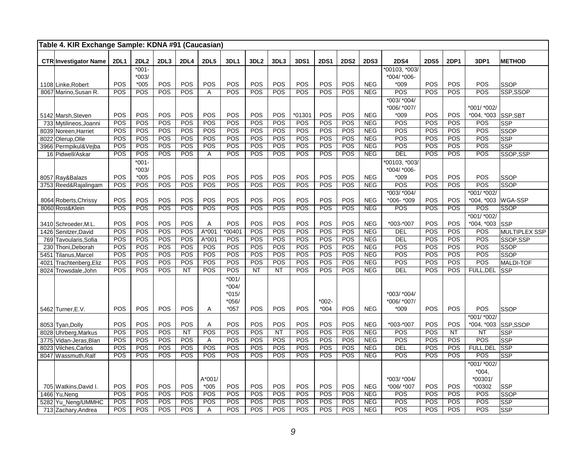|      | Table 4. KIR Exchange Sample: KDNA #91 (Caucasian) |             |                  |      |            |             |                    |                  |           |            |             |             |             |               |                  |             |                  |                      |
|------|----------------------------------------------------|-------------|------------------|------|------------|-------------|--------------------|------------------|-----------|------------|-------------|-------------|-------------|---------------|------------------|-------------|------------------|----------------------|
|      | <b>CTR Investigator Name</b>                       | <b>2DL1</b> | 2DL <sub>2</sub> | 2DL3 | 2DL4       | <b>2DL5</b> | 3DL1               | 3DL <sub>2</sub> | 3DL3      | 3DS1       | <b>2DS1</b> | <b>2DS2</b> | <b>2DS3</b> | <b>2DS4</b>   | <b>2DS5</b>      | <b>2DP1</b> | 3DP1             | <b>METHOD</b>        |
|      |                                                    |             | $*001-$          |      |            |             |                    |                  |           |            |             |             |             | *00103, *003/ |                  |             |                  |                      |
|      |                                                    |             | $*003/$          |      |            |             |                    |                  |           |            |             |             |             | *004/ *006-   |                  |             |                  |                      |
|      | 1108 Linke, Robert                                 | POS         | $*005$           | POS  | POS        | POS         | POS                | POS              | POS       | POS        | POS         | POS         | <b>NEG</b>  | $*009$        | POS              | POS         | POS              | <b>SSOP</b>          |
|      | 8067 Marino, Susan R.                              | POS         | POS              | POS  | POS        | Α           | POS                | POS              | POS       | POS        | POS         | POS         | <b>NEG</b>  | POS           | POS              | POS         | POS              | SSP,SSOP             |
|      |                                                    |             |                  |      |            |             |                    |                  |           |            |             |             |             | $*003/ *004/$ |                  |             |                  |                      |
|      |                                                    |             |                  |      |            |             |                    |                  |           |            |             |             |             | *006/ *007/   |                  |             | *001/ *002/      |                      |
|      | 5142 Marsh Steven                                  | POS         | POS              | POS  | POS        | POS         | POS                | POS              | POS       | *01301     | POS         | POS         | <b>NEG</b>  | $*009$        | POS              | POS         | $*004, *003$     | SSP,SBT              |
|      | 733 Mytilineos, Joanni                             | POS         | POS              | POS  | POS        | POS         | POS                | POS              | POS       | POS        | POS         | POS         | <b>NEG</b>  | POS           | $\overline{POS}$ | POS         | POS              | <b>SSP</b>           |
|      | 8039 Noreen, Harriet                               | POS         | POS              | POS  | POS        | POS         | POS                | POS              | POS       | <b>POS</b> | POS         | POS         | <b>NEG</b>  | POS           | POS              | POS         | POS              | <b>SSOP</b>          |
|      | 8022 Olerup, Olle                                  | POS         | POS              | POS  | POS        | POS         | POS                | POS              | POS       | POS        | POS         | POS         | <b>NEG</b>  | POS           | POS              | POS         | POS              | <b>SSP</b>           |
|      | 3966 Permpikul&Vejba                               | POS         | POS              | POS  | POS        | POS         | POS                | POS              | POS       | POS        | POS         | POS         | NEG         | POS           | POS              | POS         | POS              | <b>SSP</b>           |
|      | 16 Pidwell/Askar                                   | POS         | POS              | POS  | POS        | Α           | POS                | POS              | POS       | POS        | POS         | POS         | <b>NEG</b>  | <b>DEL</b>    | POS              | POS         | POS              | SSOP,SSP             |
|      |                                                    |             | $*001 -$         |      |            |             |                    |                  |           |            |             |             |             | *00103, *003/ |                  |             |                  |                      |
|      |                                                    |             | $*003/$          |      |            |             |                    |                  |           |            |             |             |             | *004/ *006-   |                  |             |                  |                      |
|      | 8057 Ray&Balazs                                    | POS         | $*005$           | POS  | POS        | POS         | POS                | POS              | POS       | POS        | POS         | POS         | <b>NEG</b>  | $*009$        | POS              | <b>POS</b>  | POS              | <b>SSOP</b>          |
|      | 3753 Reed&Rajalingam                               | POS         | POS              | POS  | POS        | POS         | POS                | POS              | POS       | POS        | POS         | POS         | <b>NEG</b>  | POS           | POS              | POS         | POS              | <b>SSOP</b>          |
|      |                                                    |             |                  |      |            |             |                    |                  |           |            |             |             |             | *003/ *004/   |                  |             | *001/ *002/      |                      |
|      | 8064 Roberts, Chrissy                              | POS         | POS              | POS  | POS        | POS         | POS                | POS              | POS       | POS        | POS         | POS         | <b>NEG</b>  | *006- *009    | POS              | POS         | $*004, *003$     | <b>WGA-SSP</b>       |
|      | 8060 Rost&Klein                                    | POS         | POS              | POS  | POS        | POS         | POS                | POS              | POS       | POS        | POS         | POS         | NEG         | <b>POS</b>    | POS              | POS         | POS              | <b>SSOP</b>          |
|      |                                                    |             |                  |      |            |             |                    |                  |           |            |             |             |             |               |                  |             | $*001/*002/$     |                      |
|      | 3410 Schroeder, M.L.                               | POS         | POS              | POS  | POS        | Α           | POS                | POS              | POS       | POS        | POS         | POS         | <b>NEG</b>  | *003-*007     | POS              | POS         | $*004, *003$     | <b>SSP</b>           |
|      | 1426 Senitzer, David                               | POS         | POS              | POS  | POS        | $A*001$     | $*00401$           | POS              | POS       | POS        | POS         | POS         | <b>NEG</b>  | <b>DEL</b>    | POS              | POS         | POS              | <b>MULTIPLEX SSP</b> |
| 769  | Tavoularis, Sofia                                  | POS         | POS              | POS  | POS        | A*001       | POS                | POS              | POS       | <b>POS</b> | POS         | POS         | <b>NEG</b>  | DEL           | POS              | POS         | POS              | SSOP, SSP            |
| 230  | Thoni, Deborah                                     | POS         | POS              | POS  | POS        | POS         | POS                | POS              | POS       | POS        | POS         | POS         | NEG         | POS           | POS              | POS         | POS              | <b>SSOP</b>          |
| 5451 | Tilanus, Marcel                                    | POS         | POS              | POS  | POS        | POS         | POS                | POS              | POS       | POS        | POS         | POS         | NEG         | POS           | POS              | POS         | POS              | SSOP                 |
| 4021 | Trachtenberg, Eliz                                 | POS         | POS              | POS  | POS        | POS         | POS                | POS              | POS       | POS        | POS         | POS         | <b>NEG</b>  | POS           | POS              | POS         | POS              | <b>MALDI-TOF</b>     |
| 8024 | Trowsdale, John                                    | POS         | POS              | POS  | <b>NT</b>  | POS         | POS                | <b>NT</b>        | <b>NT</b> | <b>POS</b> | POS         | POS         | NEG         | <b>DEL</b>    | POS              | POS         | FULL, DEL        | <b>SSP</b>           |
|      |                                                    |             |                  |      |            |             | $*001/$<br>$*004/$ |                  |           |            |             |             |             |               |                  |             |                  |                      |
|      |                                                    |             |                  |      |            |             | $*015/$            |                  |           |            |             |             |             | *003/ *004/   |                  |             |                  |                      |
|      |                                                    |             |                  |      |            |             | *056/              |                  |           |            | $*002-$     |             |             | *006/ *007/   |                  |             |                  |                      |
|      | 5462 Turner, E.V.                                  | POS         | POS              | POS  | POS        | Α           | $*057$             | POS              | POS       | POS        | $*004$      | POS         | <b>NEG</b>  | $*009$        | POS              | <b>POS</b>  | POS              | <b>SSOP</b>          |
|      |                                                    |             |                  |      |            |             |                    |                  |           |            |             |             |             |               |                  |             | *001/ *002/      |                      |
|      | 8053 Tyan, Dolly                                   | POS         | POS              | POS  | POS        | Α           | POS                | POS              | POS       | POS        | POS         | POS         | <b>NEG</b>  | *003-*007     | POS              | POS         | $*004, *003$     | SSP,SSOP             |
|      | 8028 Uhrberg, Markus                               | POS         | POS              | POS  | NT         | POS         | POS                | POS              | NT        | POS        | POS         | POS         | <b>NEG</b>  | POS           | POS              | <b>NT</b>   | <b>NT</b>        | <b>SSP</b>           |
|      | 3775 Vidan-Jeras, Blan                             | POS         | POS              | POS  | POS        | Α           | POS                | POS              | POS       | POS        | POS         | POS         | <b>NEG</b>  | POS           | POS              | POS         | POS              | <b>SSP</b>           |
| 8023 | Vilches, Carlos                                    | POS         | POS              | POS  | POS        | POS         | POS                | POS              | POS       | POS        | POS         | POS         | <b>NEG</b>  | <b>DEL</b>    | POS              | POS         | <b>FULL, DEL</b> | <b>SSP</b>           |
|      | 8047 Wassmuth, Ralf                                | POS         | POS              | POS  | POS        | POS         | POS                | POS              | POS       | <b>POS</b> | POS         | POS         | <b>NEG</b>  | POS           | POS              | POS         | POS              | <b>SSP</b>           |
|      |                                                    |             |                  |      |            |             |                    |                  |           |            |             |             |             |               |                  |             | *001/ *002/      |                      |
|      |                                                    |             |                  |      |            |             |                    |                  |           |            |             |             |             |               |                  |             | $*004.$          |                      |
|      |                                                    |             |                  |      |            | A*001/      |                    |                  |           |            |             |             |             | *003/ *004/   |                  |             | *00301/          |                      |
|      | 705 Watkins, David I.                              | POS         | POS              | POS  | <b>POS</b> | $*005$      | POS                | POS              | POS       | POS        | POS         | POS         | <b>NEG</b>  | *006/ *007    | POS              | POS         | *00302           | <b>SSP</b>           |
| 1466 | Yu.Nena                                            | POS         | POS              | POS  | POS        | POS         | POS                | POS              | POS       | POS        | POS         | POS         | <b>NEG</b>  | POS           | POS              | POS         | POS              | <b>SSOP</b>          |
|      | 5282 Yu_Neng/UMMHC                                 | POS         | POS              | POS  | POS        | POS         | POS                | POS              | POS       | <b>POS</b> | POS         | POS         | <b>NEG</b>  | POS           | POS              | POS         | <b>POS</b>       | <b>SSP</b>           |
|      | 713 Zachary, Andrea                                | POS         | POS              | POS  | POS        | Α           | POS                | POS              | POS       | <b>POS</b> | POS         | POS         | <b>NEG</b>  | POS           | POS              | POS         | POS              | <b>SSP</b>           |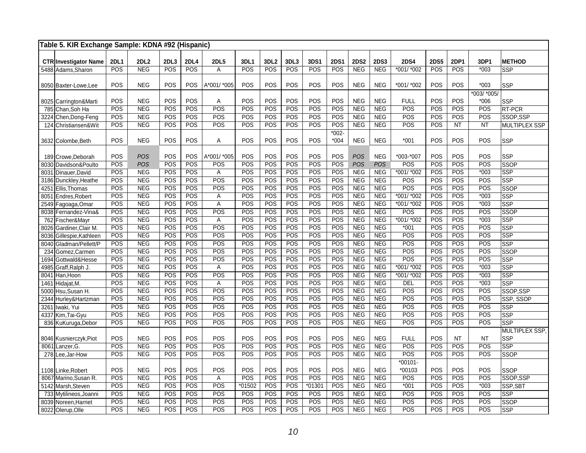| Table 5. KIR Exchange Sample: KDNA #92 (Hispanic) |             |                          |            |                   |                    |            |                  |            |            |             |                          |                          |                  |                   |            |                 |                      |
|---------------------------------------------------|-------------|--------------------------|------------|-------------------|--------------------|------------|------------------|------------|------------|-------------|--------------------------|--------------------------|------------------|-------------------|------------|-----------------|----------------------|
| <b>CTR Investigator Name</b>                      | <b>2DL1</b> | <b>2DL2</b>              | 2DL3       | <b>2DL4</b>       | <b>2DL5</b>        | 3DL1       | 3DL <sub>2</sub> | 3DL3       | 3DS1       | <b>2DS1</b> | <b>2DS2</b>              | <b>2DS3</b>              | <b>2DS4</b>      | <b>2DS5</b>       | 2DP1       | 3DP1            | <b>METHOD</b>        |
| 5488 Adams, Sharon                                | POS         | <b>NEG</b>               | POS        | <b>POS</b>        | A                  | POS        | POS              | POS        | <b>POS</b> | POS         | <b>NEG</b>               | <b>NEG</b>               | *001/ *002       | POS               | POS        | $*003$          | SSP                  |
|                                                   |             |                          |            |                   |                    |            |                  |            |            |             |                          |                          |                  |                   |            |                 |                      |
| 8050 Baxter-Lowe.Lee                              | POS         | <b>NEG</b>               | POS        | POS               | A*001/ *005        | POS        | POS              | POS        | POS        | POS         | <b>NEG</b>               | <b>NEG</b>               | *001/ *002       | POS               | POS        | $*003$          | <b>SSP</b>           |
|                                                   |             |                          |            |                   |                    |            |                  |            |            |             |                          |                          |                  |                   |            | $*003/$ $*005/$ |                      |
| 8025 Carrington&Marti                             | POS         | <b>NEG</b>               | POS        | POS               | Α                  | POS        | POS              | POS        | POS        | POS         | <b>NEG</b>               | <b>NEG</b>               | <b>FULL</b>      | POS               | POS        | $*006$          | SSP                  |
| 785 Chan, Soh Ha                                  | POS         | <b>NEG</b>               | POS        | POS               | POS                | POS        | POS              | POS        | POS        | POS         | <b>NEG</b>               | <b>NEG</b>               | POS              | POS               | POS        | POS             | <b>RT-PCR</b>        |
| Chen, Dong-Feng<br>3224                           | POS         | <b>NEG</b>               | POS        | POS               | POS                | POS        | POS              | POS        | POS        | POS         | <b>NEG</b>               | <b>NEG</b>               | POS              | POS               | POS        | POS             | SSOP,SSP             |
| 124 Christiansen&Wit                              | POS         | <b>NEG</b>               | POS        | POS               | POS                | POS        | POS              | POS        | POS        | POS         | <b>NEG</b>               | <b>NEG</b>               | POS              | POS               | <b>NT</b>  | <b>NT</b>       | <b>MULTIPLEX SSP</b> |
|                                                   |             |                          |            |                   |                    |            |                  |            |            | $*002 -$    |                          |                          |                  |                   |            |                 |                      |
| 3632 Colombe, Beth                                | POS         | <b>NEG</b>               | POS        | <b>POS</b>        | Α                  | POS        | POS              | POS        | <b>POS</b> | $*004$      | <b>NEG</b>               | <b>NEG</b>               | $*001$           | POS               | POS        | POS             | <b>SSP</b>           |
|                                                   |             | <b>POS</b>               | POS        |                   |                    |            |                  |            |            |             |                          |                          |                  |                   |            |                 |                      |
| 189 Crowe, Deborah<br>8030 Davidson&Poulto        | POS<br>POS  | <b>POS</b>               | POS        | <b>POS</b><br>POS | A*001/ *005<br>POS | POS<br>POS | POS<br>POS       | POS<br>POS | POS<br>POS | POS<br>POS  | POS<br><b>POS</b>        | <b>NEG</b><br><b>POS</b> | *003-*007<br>POS | POS<br>POS        | POS<br>POS | POS<br>POS      | <b>SSP</b><br>SSOP   |
| 8031 Dinauer, David                               | POS         | <b>NEG</b>               | POS        | POS               | А                  | POS        | POS              | POS        | POS        | POS         | <b>NEG</b>               | <b>NEG</b>               | *001/ *002       | POS               | POS        | $*003$          | <b>SSP</b>           |
| 3186 Dunckley, Heathe                             | POS         | <b>NEG</b>               | POS        | POS               | POS                | POS        | POS              | POS        | POS        | POS         | NEG                      | <b>NEG</b>               | POS              | POS               | POS        | POS             | SSP                  |
| Ellis, Thomas<br>4251                             | POS         | <b>NEG</b>               | POS        | POS               | POS                | POS        | POS              | POS        | POS        | POS         | <b>NEG</b>               | <b>NEG</b>               | POS              | POS               | POS        | POS             | SSOP                 |
| 8051<br>Endres, Robert                            | POS         | NEG                      | POS        | POS               | Α                  | POS        | POS              | POS        | POS        | POS         | <b>NEG</b>               | <b>NEG</b>               | $*001/*002$      | POS               | POS        | $*003$          | SSP                  |
| 2549 Fagoaga, Omar                                | POS         | <b>NEG</b>               | POS        | POS               | A                  | POS        | POS              | POS        | POS        | POS         | <b>NEG</b>               | <b>NEG</b>               | $*001/*002$      | POS               | POS        | $*003$          | SSP                  |
| 8038<br>Fernandez-Vina&                           | POS         | <b>NEG</b>               | POS        | POS               | POS                | POS        | POS              | POS        | POS        | POS         | <b>NEG</b>               | <b>NEG</b>               | POS              | POS               | POS        | POS             | <b>SSOP</b>          |
| 762 Fischer&Mayr                                  | POS         | <b>NEG</b>               | POS        | POS               | A                  | POS        | POS              | POS        | POS        | POS         | <b>NEG</b>               | <b>NEG</b>               | *001/ *002       | POS               | POS        | $*003$          | SSP                  |
| Gardiner, Clair M.<br>8026                        | POS         | <b>NEG</b>               | POS        | POS               | POS                | POS        | POS              | POS        | POS        | POS         | <b>NEG</b>               | <b>NEG</b>               | $*001$           | POS               | POS        | POS             | <b>SSP</b>           |
| Gillespie, Kathleen<br>8036                       | POS         | <b>NEG</b>               | POS        | POS               | POS                | POS        | POS              | POS        | POS        | POS         | <b>NEG</b>               | <b>NEG</b>               | POS              | POS               | POS        | POS             | SSP                  |
| 8040<br>Gladman/Pellett/P                         | POS         | <b>NEG</b>               | POS        | POS               | POS                | POS        | POS              | POS        | POS        | POS         | <b>NEG</b>               | <b>NEG</b>               | POS              | POS               | POS        | POS             | <b>SSP</b>           |
| Gomez, Carmen<br>234                              | POS         | <b>NEG</b>               | POS        | POS               | POS                | POS        | POS              | POS        | POS        | POS         | <b>NEG</b>               | <b>NEG</b>               | POS              | POS               | POS        | POS             | SSOP                 |
| Gottwald&Hesse<br>1694                            | POS         | <b>NEG</b>               | POS        | POS               | POS                | POS        | POS              | POS        | POS        | POS         | <b>NEG</b>               | <b>NEG</b>               | $\overline{POS}$ | POS               | POS        | POS             | SSP                  |
| 4985<br>Graff, Ralph J.                           | POS         | <b>NEG</b>               | POS        | POS               | Α                  | POS        | POS              | POS        | POS        | POS         | <b>NEG</b>               | <b>NEG</b>               | *001/ *002       | POS               | POS        | $*003$          | SSP                  |
| 8041 Han, Hoon                                    | POS         | <b>NEG</b>               | POS        | POS               | POS                | POS        | POS              | POS        | POS        | POS         | <b>NEG</b>               | <b>NEG</b>               | $*001/*002$      | POS               | POS        | $*003$          | SSP                  |
| Hidajat, M.<br>1461                               | POS         | <b>NEG</b>               | POS        | POS               | Α                  | POS        | POS              | POS        | POS        | POS         | <b>NEG</b>               | <b>NEG</b>               | DEL              | POS               | POS        | $*003$          | SSP                  |
| Hsu, Susan H.<br>5000                             | POS         | <b>NEG</b>               | POS        | POS               | POS                | POS        | POS<br>POS       | POS        | POS<br>POS | POS         | <b>NEG</b>               | <b>NEG</b>               | POS              | POS               | POS<br>POS | POS             | SSOP,SSP             |
| 2344<br>Hurley&Hartzman                           | POS<br>POS  | <b>NEG</b><br><b>NEG</b> | POS<br>POS | POS<br>POS        | POS<br>POS         | POS<br>POS | POS              | POS<br>POS | POS        | POS<br>POS  | <b>NEG</b><br><b>NEG</b> | NEG<br><b>NEG</b>        | POS<br>POS       | <b>POS</b><br>POS | POS        | POS<br>POS      | <b>SSP, SSOP</b>     |
| 3261<br>Iwaki, Yui<br>4337 Kim, Tai-Gyu           | POS         | <b>NEG</b>               | POS        | $\overline{POS}$  | POS                | POS        | POS              | POS        | POS        | POS         | <b>NEG</b>               | <b>NEG</b>               | $\overline{POS}$ | POS               | POS        | POS             | <b>SSP</b><br>SSP    |
| 836 KuKuruga, Debor                               | POS         | <b>NEG</b>               | POS        | POS               | POS                | POS        | POS              | POS        | POS        | POS         | <b>NEG</b>               | <b>NEG</b>               | POS              | POS               | POS        | POS             | <b>SSP</b>           |
|                                                   |             |                          |            |                   |                    |            |                  |            |            |             |                          |                          |                  |                   |            |                 | MULTIPLEX SSP,       |
| 8046 Kusnierczyk, Piot                            | POS         | <b>NEG</b>               | POS        | POS               | POS                | POS        | POS              | POS        | POS        | POS         | <b>NEG</b>               | <b>NEG</b>               | <b>FULL</b>      | POS               | <b>NT</b>  | <b>NT</b>       | <b>SSP</b>           |
| 8061 Lanzer, G.                                   | POS         | NEG                      | POS        | POS               | POS                | POS        | <b>POS</b>       | POS        | POS        | POS         | <b>NEG</b>               | <b>NEG</b>               | POS              | POS               | POS        | POS             | <b>SSP</b>           |
| 278 Lee, Jar-How                                  | POS         | <b>NEG</b>               | POS        | POS               | POS                | POS        | POS              | POS        | POS        | POS         | <b>NEG</b>               | <b>NEG</b>               | POS              | POS               | POS        | POS             | <b>SSOP</b>          |
|                                                   |             |                          |            |                   |                    |            |                  |            |            |             |                          |                          | $*00101-$        |                   |            |                 |                      |
| 1108 Linke, Robert                                | POS         | <b>NEG</b>               | POS        | POS               | POS                | POS        | POS              | POS        | POS        | POS         | <b>NEG</b>               | <b>NEG</b>               | *00103           | POS               | POS        | POS             | <b>SSOP</b>          |
| 8067 Marino, Susan R.                             | POS         | <b>NEG</b>               | POS        | POS               | A                  | POS        | POS              | POS        | POS        | POS         | <b>NEG</b>               | <b>NEG</b>               | POS              | POS               | POS        | POS             | SSOP,SSP             |
| 5142 Marsh, Steven                                | POS         | <b>NEG</b>               | POS        | <b>POS</b>        | POS                | $*01502$   | POS              | POS        | $*01301$   | POS         | <b>NEG</b>               | <b>NEG</b>               | $*001$           | POS               | POS        | $*003$          | SSP, SBT             |
| 733 Mytilineos, Joanni                            | POS         | <b>NEG</b>               | POS        | POS               | POS                | POS        | POS              | POS        | POS        | POS         | <b>NEG</b>               | NEG                      | POS              | POS               | POS        | POS             | SSP                  |
| 8039 Noreen, Harriet                              | POS         | <b>NEG</b>               | POS        | <b>POS</b>        | POS                | POS        | POS              | POS        | POS        | POS         | <b>NEG</b>               | <b>NEG</b>               | POS              | POS               | POS        | POS             | <b>SSOP</b>          |
| 8022 Olerup, Olle                                 | POS         | <b>NEG</b>               | POS        | POS               | POS                | POS        | POS              | POS        | POS        | POS         | <b>NEG</b>               | <b>NEG</b>               | POS              | POS               | POS        | POS             | SSP                  |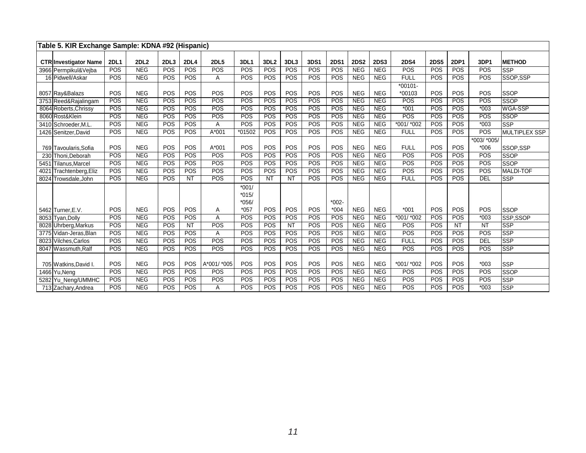|      | Table 5. KIR Exchange Sample: KDNA #92 (Hispanic) |             |            |      |             |             |            |                  |            |      |             |             |             |             |             |            |             |                      |
|------|---------------------------------------------------|-------------|------------|------|-------------|-------------|------------|------------------|------------|------|-------------|-------------|-------------|-------------|-------------|------------|-------------|----------------------|
|      |                                                   |             |            |      |             |             |            |                  |            |      |             |             |             |             |             |            |             |                      |
|      | <b>CTR Investigator Name</b>                      | <b>2DL1</b> | 2DL2       | 2DL3 | <b>2DL4</b> | <b>2DL5</b> | 3DL1       | 3DL <sub>2</sub> | 3DL3       | 3DS1 | <b>2DS1</b> | <b>2DS2</b> | <b>2DS3</b> | <b>2DS4</b> | <b>2DS5</b> | 2DP1       | 3DP1        | <b>METHOD</b>        |
|      | 3966 Permpikul&Vejba                              | POS         | <b>NEG</b> | POS  | POS         | POS         | POS        | POS              | POS        | POS  | POS         | <b>NEG</b>  | <b>NEG</b>  | POS         | POS         | POS        | POS         | <b>SSP</b>           |
|      | 16 Pidwell/Askar                                  | POS         | NEG        | POS  | <b>POS</b>  | A           | <b>POS</b> | POS              | POS        | POS  | POS         | <b>NEG</b>  | <b>NEG</b>  | <b>FULL</b> | POS         | POS        | POS         | SSOP,SSP             |
|      |                                                   |             |            |      |             |             |            |                  |            |      |             |             |             | $*00101-$   |             |            |             |                      |
|      | 8057 Ray&Balazs                                   | POS         | <b>NEG</b> | POS  | POS         | POS         | POS        | POS              | POS        | POS  | POS         | <b>NEG</b>  | <b>NEG</b>  | *00103      | POS         | POS        | POS         | SSOP                 |
|      | 3753 Reed&Rajalingam                              | POS         | <b>NEG</b> | POS  | POS         | POS         | POS        | POS              | POS        | POS  | POS         | <b>NEG</b>  | <b>NEG</b>  | POS         | POS         | POS        | POS         | SSOP                 |
|      | 8064 Roberts, Chrissy                             | POS         | <b>NEG</b> | POS  | POS         | POS         | POS        | POS              | POS        | POS  | POS         | <b>NEG</b>  | <b>NEG</b>  | $*001$      | POS         | POS        | $*003$      | WGA-SSP              |
|      | 8060 Rost&Klein                                   | POS         | <b>NEG</b> | POS  | POS         | POS         | POS        | POS              | POS        | POS  | POS         | <b>NEG</b>  | <b>NEG</b>  | POS         | POS         | POS        | POS         | <b>SSOP</b>          |
|      | 3410 Schroeder, M.L.                              | POS         | <b>NEG</b> | POS  | POS         | A           | POS        | POS              | POS        | POS  | POS         | <b>NEG</b>  | <b>NEG</b>  | *001/ *002  | POS         | POS        | $*003$      | <b>SSP</b>           |
|      | 1426 Senitzer, David                              | POS         | <b>NEG</b> | POS  | POS         | A*001       | *01502     | POS              | POS        | POS  | POS         | <b>NEG</b>  | <b>NEG</b>  | <b>FULL</b> | POS         | POS        | POS         | <b>MULTIPLEX SSP</b> |
|      |                                                   |             |            |      |             |             |            |                  |            |      |             |             |             |             |             |            | *003/ *005/ |                      |
|      | 769 Tavoularis.Sofia                              | POS         | <b>NEG</b> | POS  | POS         | A*001       | POS        | POS              | POS        | POS  | POS         | <b>NEG</b>  | <b>NEG</b>  | <b>FULL</b> | POS         | POS        | $*006$      | SSOP.SSP             |
|      | 230 Thoni.Deborah                                 | POS         | <b>NEG</b> | POS  | POS         | POS         | POS        | POS              | POS        | POS  | POS         | <b>NEG</b>  | <b>NEG</b>  | POS         | POS         | POS        | POS         | <b>SSOP</b>          |
|      | 5451 Tilanus, Marcel                              | POS         | <b>NEG</b> | POS  | POS         | POS         | POS        | POS              | POS        | POS  | POS         | <b>NEG</b>  | <b>NEG</b>  | POS         | POS         | POS        | POS         | <b>SSOP</b>          |
| 4021 | Trachtenberg, Eliz                                | POS         | <b>NEG</b> | POS  | POS         | POS         | POS        | POS              | POS        | POS  | POS         | <b>NEG</b>  | <b>NEG</b>  | POS         | POS         | POS        | POS         | <b>MALDI-TOF</b>     |
|      | 8024 Trowsdale, John                              | POS         | <b>NEG</b> | POS  | <b>NT</b>   | POS         | POS        | <b>NT</b>        | <b>NT</b>  | POS  | POS         | <b>NEG</b>  | <b>NEG</b>  | <b>FULL</b> | POS         | POS        | <b>DEL</b>  | <b>SSP</b>           |
|      |                                                   |             |            |      |             |             | $*001/$    |                  |            |      |             |             |             |             |             |            |             |                      |
|      |                                                   |             |            |      |             |             | $*015/$    |                  |            |      |             |             |             |             |             |            |             |                      |
|      |                                                   |             |            |      |             |             | $*056/$    |                  |            |      | $*002-$     |             |             |             |             |            |             |                      |
|      | 5462 Turner, E.V.                                 | POS         | <b>NEG</b> | POS  | POS         | Α           | $*057$     | POS              | POS        | POS  | $*004$      | <b>NEG</b>  | <b>NEG</b>  | $*001$      | <b>POS</b>  | POS        | POS         | SSOP                 |
|      | 8053 Tyan, Dolly                                  | POS         | <b>NEG</b> | POS  | POS         | A           | POS        | POS              | POS        | POS  | POS         | <b>NEG</b>  | <b>NEG</b>  | $*001/*002$ | POS         | POS        | $*003$      | SSP,SSOP             |
|      | 8028 Uhrberg, Markus                              | POS         | <b>NEG</b> | POS  | <b>NT</b>   | POS         | POS        | POS              | <b>NT</b>  | POS  | POS         | <b>NEG</b>  | <b>NEG</b>  | POS         | POS         | <b>NT</b>  | <b>NT</b>   | SSP                  |
|      | 3775 Vidan-Jeras.Blan                             | POS         | <b>NEG</b> | POS  | POS         | Α           | POS        | POS              | POS        | POS  | POS         | <b>NEG</b>  | <b>NEG</b>  | POS         | POS         | POS        | POS         | <b>SSP</b>           |
|      | 8023 Vilches, Carlos                              | POS         | <b>NEG</b> | POS  | <b>POS</b>  | POS         | POS        | POS              | POS        | POS  | POS         | <b>NEG</b>  | <b>NEG</b>  | <b>FULL</b> | POS         | POS        | DEL         | <b>SSP</b>           |
|      | 8047 Wassmuth.Ralf                                | POS         | <b>NEG</b> | POS  | POS         | POS         | POS        | POS              | POS        | POS  | POS         | <b>NEG</b>  | <b>NEG</b>  | <b>POS</b>  | POS         | POS        | POS         | SSP                  |
|      |                                                   |             |            |      |             |             |            |                  |            |      |             |             |             |             |             |            |             |                      |
|      | 705 Watkins, David I.                             | POS         | <b>NEG</b> | POS  | POS         | A*001/ *005 | POS        | POS              | POS        | POS  | POS         | <b>NEG</b>  | <b>NEG</b>  | *001/ *002  | POS         | POS        | $*003$      | <b>SSP</b>           |
|      | 1466 Yu.Nena                                      | POS         | <b>NEG</b> | POS  | <b>POS</b>  | POS         | POS        | POS              | POS        | POS  | POS         | <b>NEG</b>  | <b>NEG</b>  | POS         | POS         | POS        | POS         | <b>SSOP</b>          |
|      | 5282 Yu_Neng/UMMHC                                | POS         | <b>NEG</b> | POS  | POS         | POS         | POS        | POS              | POS        | POS  | POS         | <b>NEG</b>  | <b>NEG</b>  | POS         | POS         | POS        | POS         | SSP                  |
|      | 713 Zachary, Andrea                               | POS         | NEG        | POS  | POS         | A           | POS        | POS              | <b>POS</b> | POS  | POS         | <b>NEG</b>  | <b>NEG</b>  | POS         | POS         | <b>POS</b> | $*003$      | <b>SSP</b>           |